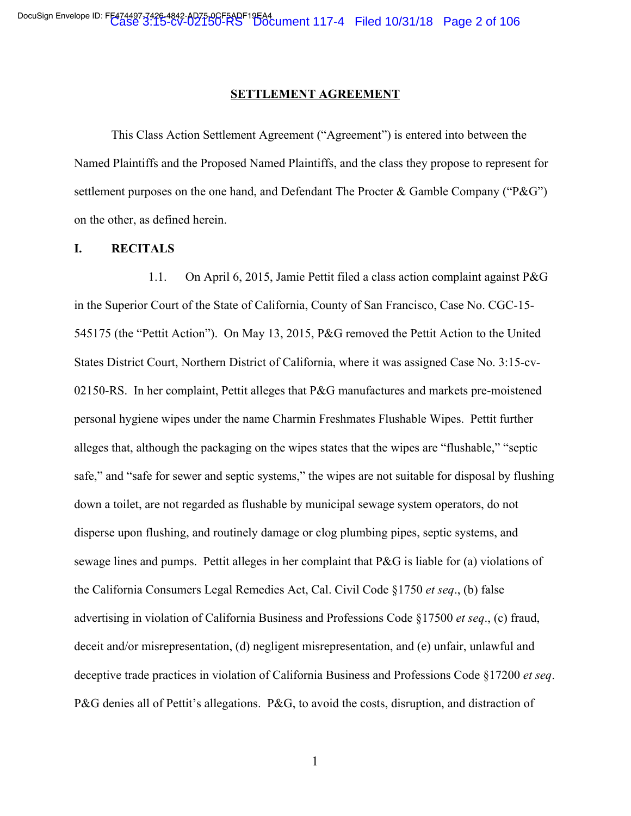#### **SETTLEMENT AGREEMENT**

This Class Action Settlement Agreement ("Agreement") is entered into between the Named Plaintiffs and the Proposed Named Plaintiffs, and the class they propose to represent for settlement purposes on the one hand, and Defendant The Procter & Gamble Company ("P&G") on the other, as defined herein.

#### **I. RECITALS**

1.1. On April 6, 2015, Jamie Pettit filed a class action complaint against P&G in the Superior Court of the State of California, County of San Francisco, Case No. CGC-15- 545175 (the "Pettit Action"). On May 13, 2015, P&G removed the Pettit Action to the United States District Court, Northern District of California, where it was assigned Case No. 3:15-cv-02150-RS. In her complaint, Pettit alleges that P&G manufactures and markets pre-moistened personal hygiene wipes under the name Charmin Freshmates Flushable Wipes. Pettit further alleges that, although the packaging on the wipes states that the wipes are "flushable," "septic safe," and "safe for sewer and septic systems," the wipes are not suitable for disposal by flushing down a toilet, are not regarded as flushable by municipal sewage system operators, do not disperse upon flushing, and routinely damage or clog plumbing pipes, septic systems, and sewage lines and pumps. Pettit alleges in her complaint that P&G is liable for (a) violations of the California Consumers Legal Remedies Act, Cal. Civil Code §1750 *et seq*., (b) false advertising in violation of California Business and Professions Code §17500 *et seq*., (c) fraud, deceit and/or misrepresentation, (d) negligent misrepresentation, and (e) unfair, unlawful and deceptive trade practices in violation of California Business and Professions Code §17200 *et seq*. P&G denies all of Pettit's allegations. P&G, to avoid the costs, disruption, and distraction of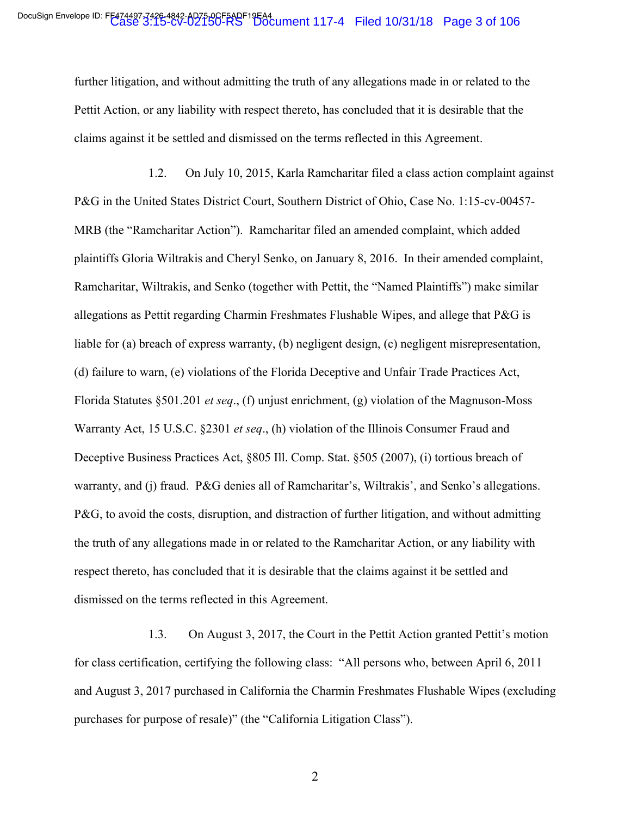further litigation, and without admitting the truth of any allegations made in or related to the Pettit Action, or any liability with respect thereto, has concluded that it is desirable that the claims against it be settled and dismissed on the terms reflected in this Agreement.

1.2. On July 10, 2015, Karla Ramcharitar filed a class action complaint against P&G in the United States District Court, Southern District of Ohio, Case No. 1:15-cv-00457- MRB (the "Ramcharitar Action"). Ramcharitar filed an amended complaint, which added plaintiffs Gloria Wiltrakis and Cheryl Senko, on January 8, 2016. In their amended complaint, Ramcharitar, Wiltrakis, and Senko (together with Pettit, the "Named Plaintiffs") make similar allegations as Pettit regarding Charmin Freshmates Flushable Wipes, and allege that P&G is liable for (a) breach of express warranty, (b) negligent design, (c) negligent misrepresentation, (d) failure to warn, (e) violations of the Florida Deceptive and Unfair Trade Practices Act, Florida Statutes §501.201 *et seq*., (f) unjust enrichment, (g) violation of the Magnuson-Moss Warranty Act, 15 U.S.C. §2301 *et seq*., (h) violation of the Illinois Consumer Fraud and Deceptive Business Practices Act, §805 Ill. Comp. Stat. §505 (2007), (i) tortious breach of warranty, and (j) fraud. P&G denies all of Ramcharitar's, Wiltrakis', and Senko's allegations. P&G, to avoid the costs, disruption, and distraction of further litigation, and without admitting the truth of any allegations made in or related to the Ramcharitar Action, or any liability with respect thereto, has concluded that it is desirable that the claims against it be settled and dismissed on the terms reflected in this Agreement.

1.3. On August 3, 2017, the Court in the Pettit Action granted Pettit's motion for class certification, certifying the following class: "All persons who, between April 6, 2011 and August 3, 2017 purchased in California the Charmin Freshmates Flushable Wipes (excluding purchases for purpose of resale)" (the "California Litigation Class").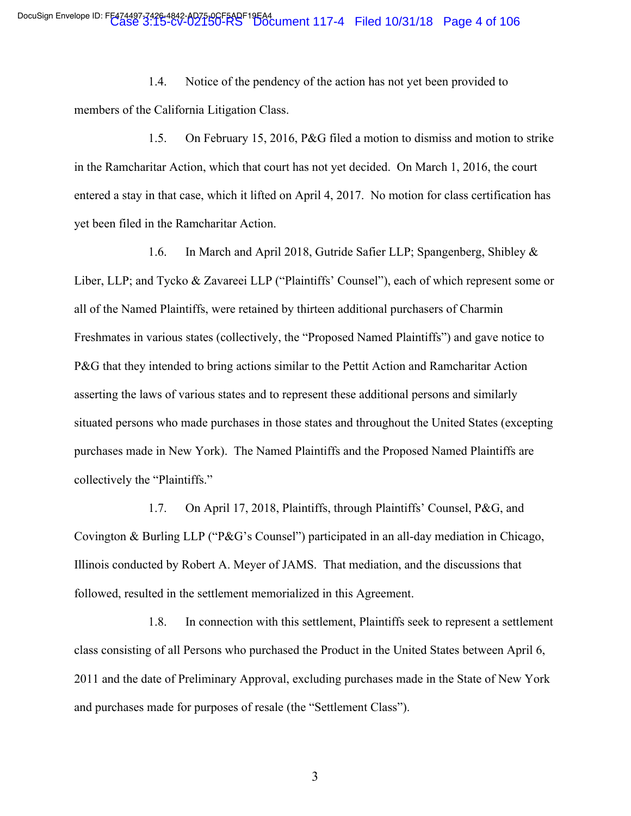1.4. Notice of the pendency of the action has not yet been provided to members of the California Litigation Class.

1.5. On February 15, 2016, P&G filed a motion to dismiss and motion to strike in the Ramcharitar Action, which that court has not yet decided. On March 1, 2016, the court entered a stay in that case, which it lifted on April 4, 2017. No motion for class certification has yet been filed in the Ramcharitar Action.

1.6. In March and April 2018, Gutride Safier LLP; Spangenberg, Shibley & Liber, LLP; and Tycko & Zavareei LLP ("Plaintiffs' Counsel"), each of which represent some or all of the Named Plaintiffs, were retained by thirteen additional purchasers of Charmin Freshmates in various states (collectively, the "Proposed Named Plaintiffs") and gave notice to P&G that they intended to bring actions similar to the Pettit Action and Ramcharitar Action asserting the laws of various states and to represent these additional persons and similarly situated persons who made purchases in those states and throughout the United States (excepting purchases made in New York). The Named Plaintiffs and the Proposed Named Plaintiffs are collectively the "Plaintiffs."

1.7. On April 17, 2018, Plaintiffs, through Plaintiffs' Counsel, P&G, and Covington & Burling LLP ("P&G's Counsel") participated in an all-day mediation in Chicago, Illinois conducted by Robert A. Meyer of JAMS. That mediation, and the discussions that followed, resulted in the settlement memorialized in this Agreement.

1.8. In connection with this settlement, Plaintiffs seek to represent a settlement class consisting of all Persons who purchased the Product in the United States between April 6, 2011 and the date of Preliminary Approval, excluding purchases made in the State of New York and purchases made for purposes of resale (the "Settlement Class").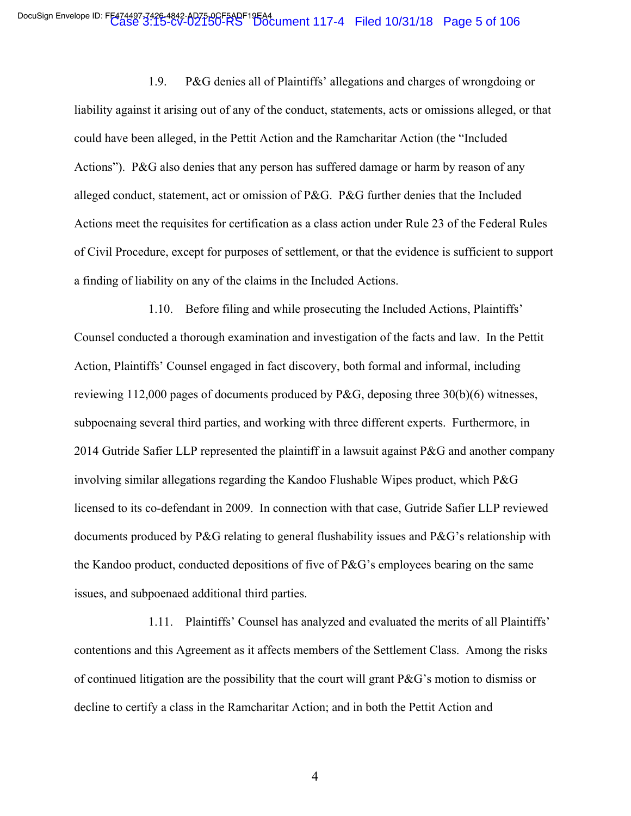1.9. P&G denies all of Plaintiffs' allegations and charges of wrongdoing or liability against it arising out of any of the conduct, statements, acts or omissions alleged, or that could have been alleged, in the Pettit Action and the Ramcharitar Action (the "Included Actions"). P&G also denies that any person has suffered damage or harm by reason of any alleged conduct, statement, act or omission of P&G. P&G further denies that the Included Actions meet the requisites for certification as a class action under Rule 23 of the Federal Rules of Civil Procedure, except for purposes of settlement, or that the evidence is sufficient to support a finding of liability on any of the claims in the Included Actions.

1.10. Before filing and while prosecuting the Included Actions, Plaintiffs' Counsel conducted a thorough examination and investigation of the facts and law. In the Pettit Action, Plaintiffs' Counsel engaged in fact discovery, both formal and informal, including reviewing 112,000 pages of documents produced by P&G, deposing three 30(b)(6) witnesses, subpoenaing several third parties, and working with three different experts. Furthermore, in 2014 Gutride Safier LLP represented the plaintiff in a lawsuit against P&G and another company involving similar allegations regarding the Kandoo Flushable Wipes product, which P&G licensed to its co-defendant in 2009. In connection with that case, Gutride Safier LLP reviewed documents produced by P&G relating to general flushability issues and P&G's relationship with the Kandoo product, conducted depositions of five of P&G's employees bearing on the same issues, and subpoenaed additional third parties.

1.11. Plaintiffs' Counsel has analyzed and evaluated the merits of all Plaintiffs' contentions and this Agreement as it affects members of the Settlement Class. Among the risks of continued litigation are the possibility that the court will grant P&G's motion to dismiss or decline to certify a class in the Ramcharitar Action; and in both the Pettit Action and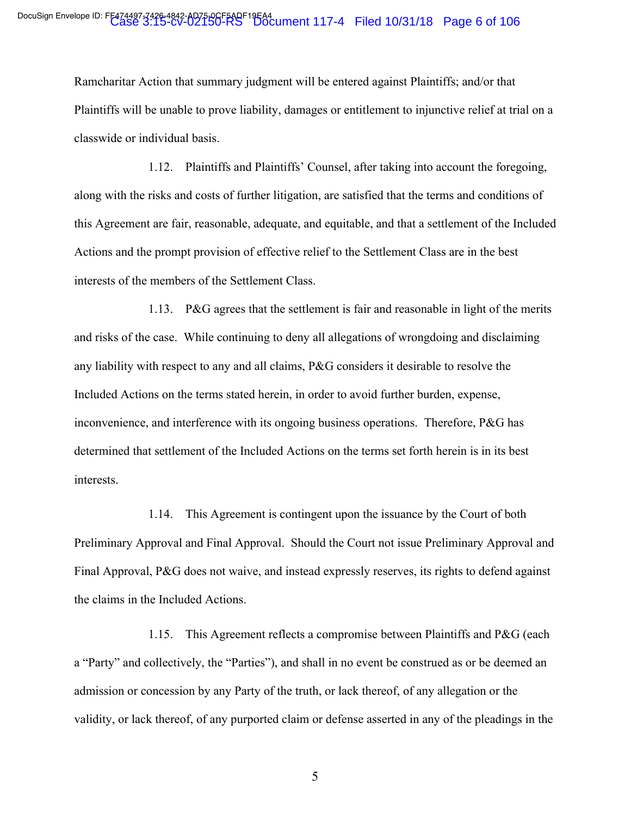Ramcharitar Action that summary judgment will be entered against Plaintiffs; and/or that Plaintiffs will be unable to prove liability, damages or entitlement to injunctive relief at trial on a classwide or individual basis.

1.12. Plaintiffs and Plaintiffs' Counsel, after taking into account the foregoing, along with the risks and costs of further litigation, are satisfied that the terms and conditions of this Agreement are fair, reasonable, adequate, and equitable, and that a settlement of the Included Actions and the prompt provision of effective relief to the Settlement Class are in the best interests of the members of the Settlement Class.

1.13. P&G agrees that the settlement is fair and reasonable in light of the merits and risks of the case. While continuing to deny all allegations of wrongdoing and disclaiming any liability with respect to any and all claims, P&G considers it desirable to resolve the Included Actions on the terms stated herein, in order to avoid further burden, expense, inconvenience, and interference with its ongoing business operations. Therefore, P&G has determined that settlement of the Included Actions on the terms set forth herein is in its best interests.

1.14. This Agreement is contingent upon the issuance by the Court of both Preliminary Approval and Final Approval. Should the Court not issue Preliminary Approval and Final Approval, P&G does not waive, and instead expressly reserves, its rights to defend against the claims in the Included Actions.

1.15. This Agreement reflects a compromise between Plaintiffs and P&G (each a "Party" and collectively, the "Parties"), and shall in no event be construed as or be deemed an admission or concession by any Party of the truth, or lack thereof, of any allegation or the validity, or lack thereof, of any purported claim or defense asserted in any of the pleadings in the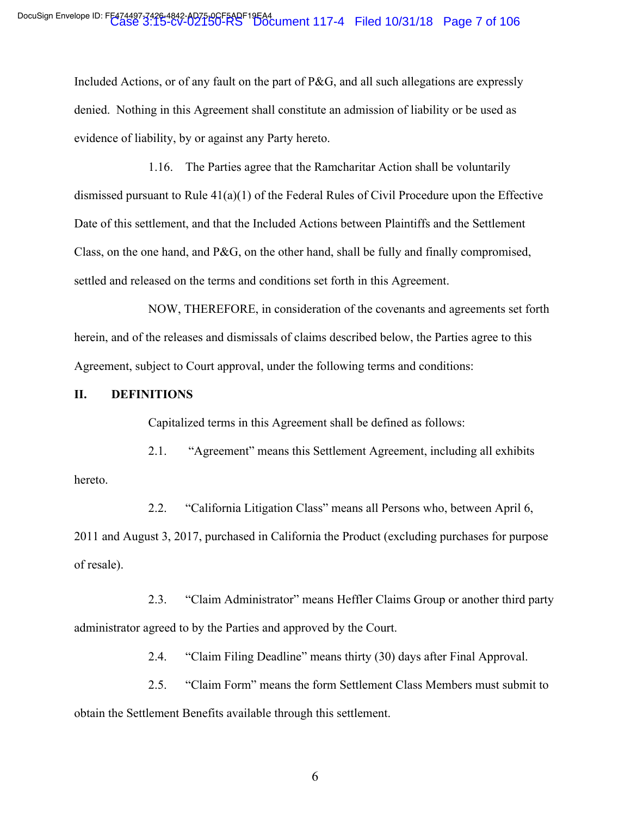Included Actions, or of any fault on the part of P&G, and all such allegations are expressly denied. Nothing in this Agreement shall constitute an admission of liability or be used as evidence of liability, by or against any Party hereto.

1.16. The Parties agree that the Ramcharitar Action shall be voluntarily dismissed pursuant to Rule 41(a)(1) of the Federal Rules of Civil Procedure upon the Effective Date of this settlement, and that the Included Actions between Plaintiffs and the Settlement Class, on the one hand, and P&G, on the other hand, shall be fully and finally compromised, settled and released on the terms and conditions set forth in this Agreement.

NOW, THEREFORE, in consideration of the covenants and agreements set forth herein, and of the releases and dismissals of claims described below, the Parties agree to this Agreement, subject to Court approval, under the following terms and conditions:

### **II. DEFINITIONS**

Capitalized terms in this Agreement shall be defined as follows:

2.1. "Agreement" means this Settlement Agreement, including all exhibits hereto.

2.2. "California Litigation Class" means all Persons who, between April 6, 2011 and August 3, 2017, purchased in California the Product (excluding purchases for purpose of resale).

2.3. "Claim Administrator" means Heffler Claims Group or another third party administrator agreed to by the Parties and approved by the Court.

2.4. "Claim Filing Deadline" means thirty (30) days after Final Approval.

2.5. "Claim Form" means the form Settlement Class Members must submit to obtain the Settlement Benefits available through this settlement.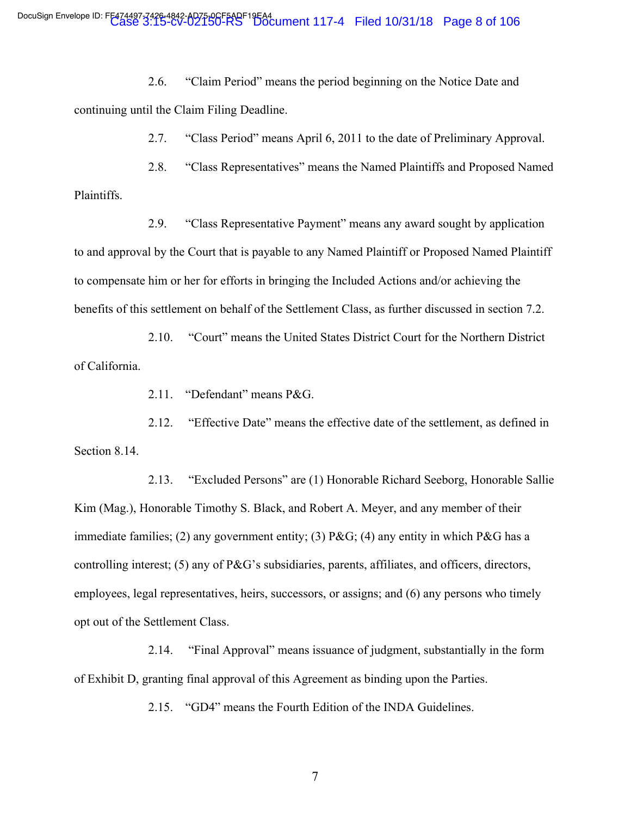2.6. "Claim Period" means the period beginning on the Notice Date and continuing until the Claim Filing Deadline.

2.7. "Class Period" means April 6, 2011 to the date of Preliminary Approval.

2.8. "Class Representatives" means the Named Plaintiffs and Proposed Named Plaintiffs.

2.9. "Class Representative Payment" means any award sought by application to and approval by the Court that is payable to any Named Plaintiff or Proposed Named Plaintiff to compensate him or her for efforts in bringing the Included Actions and/or achieving the benefits of this settlement on behalf of the Settlement Class, as further discussed in section 7.2.

2.10. "Court" means the United States District Court for the Northern District of California.

2.11. "Defendant" means P&G.

2.12. "Effective Date" means the effective date of the settlement, as defined in Section 8.14.

2.13. "Excluded Persons" are (1) Honorable Richard Seeborg, Honorable Sallie Kim (Mag.), Honorable Timothy S. Black, and Robert A. Meyer, and any member of their immediate families; (2) any government entity; (3)  $P\&G$ ; (4) any entity in which  $P\&G$  has a controlling interest; (5) any of P&G's subsidiaries, parents, affiliates, and officers, directors, employees, legal representatives, heirs, successors, or assigns; and (6) any persons who timely opt out of the Settlement Class.

2.14. "Final Approval" means issuance of judgment, substantially in the form of Exhibit D, granting final approval of this Agreement as binding upon the Parties.

2.15. "GD4" means the Fourth Edition of the INDA Guidelines.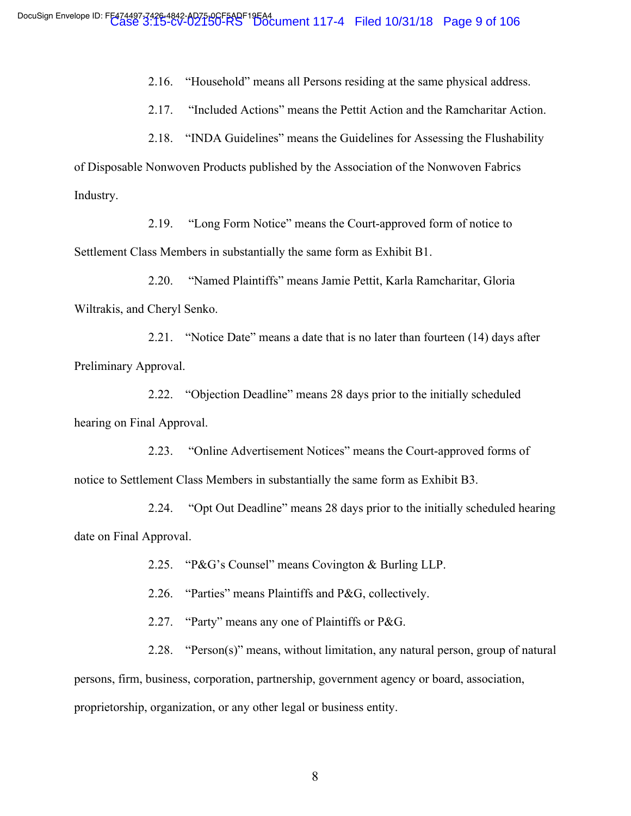2.16. "Household" means all Persons residing at the same physical address.

2.17. "Included Actions" means the Pettit Action and the Ramcharitar Action.

2.18. "INDA Guidelines" means the Guidelines for Assessing the Flushability of Disposable Nonwoven Products published by the Association of the Nonwoven Fabrics Industry.

2.19. "Long Form Notice" means the Court-approved form of notice to Settlement Class Members in substantially the same form as Exhibit B1.

2.20. "Named Plaintiffs" means Jamie Pettit, Karla Ramcharitar, Gloria Wiltrakis, and Cheryl Senko.

2.21. "Notice Date" means a date that is no later than fourteen (14) days after Preliminary Approval.

2.22. "Objection Deadline" means 28 days prior to the initially scheduled hearing on Final Approval.

2.23. "Online Advertisement Notices" means the Court-approved forms of notice to Settlement Class Members in substantially the same form as Exhibit B3.

2.24. "Opt Out Deadline" means 28 days prior to the initially scheduled hearing date on Final Approval.

2.25. "P&G's Counsel" means Covington & Burling LLP.

2.26. "Parties" means Plaintiffs and P&G, collectively.

2.27. "Party" means any one of Plaintiffs or P&G.

2.28. "Person(s)" means, without limitation, any natural person, group of natural persons, firm, business, corporation, partnership, government agency or board, association, proprietorship, organization, or any other legal or business entity.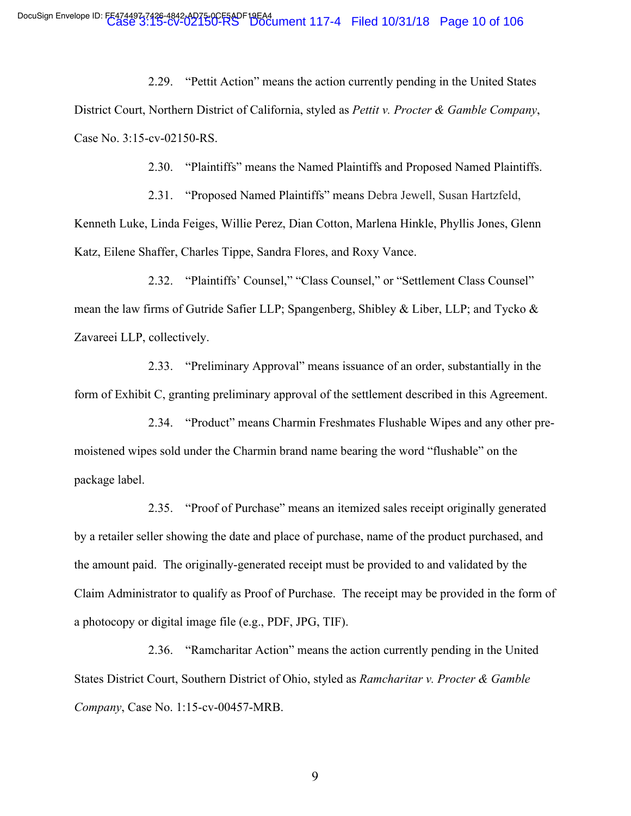2.29. "Pettit Action" means the action currently pending in the United States District Court, Northern District of California, styled as *Pettit v. Procter & Gamble Company*, Case No. 3:15-cv-02150-RS.

2.30. "Plaintiffs" means the Named Plaintiffs and Proposed Named Plaintiffs.

2.31. "Proposed Named Plaintiffs" means Debra Jewell, Susan Hartzfeld, Kenneth Luke, Linda Feiges, Willie Perez, Dian Cotton, Marlena Hinkle, Phyllis Jones, Glenn Katz, Eilene Shaffer, Charles Tippe, Sandra Flores, and Roxy Vance.

2.32. "Plaintiffs' Counsel," "Class Counsel," or "Settlement Class Counsel" mean the law firms of Gutride Safier LLP; Spangenberg, Shibley & Liber, LLP; and Tycko & Zavareei LLP, collectively.

2.33. "Preliminary Approval" means issuance of an order, substantially in the form of Exhibit C, granting preliminary approval of the settlement described in this Agreement.

2.34. "Product" means Charmin Freshmates Flushable Wipes and any other premoistened wipes sold under the Charmin brand name bearing the word "flushable" on the package label.

2.35. "Proof of Purchase" means an itemized sales receipt originally generated by a retailer seller showing the date and place of purchase, name of the product purchased, and the amount paid. The originally-generated receipt must be provided to and validated by the Claim Administrator to qualify as Proof of Purchase. The receipt may be provided in the form of a photocopy or digital image file (e.g., PDF, JPG, TIF).

2.36. "Ramcharitar Action" means the action currently pending in the United States District Court, Southern District of Ohio, styled as *Ramcharitar v. Procter & Gamble Company*, Case No. 1:15-cv-00457-MRB.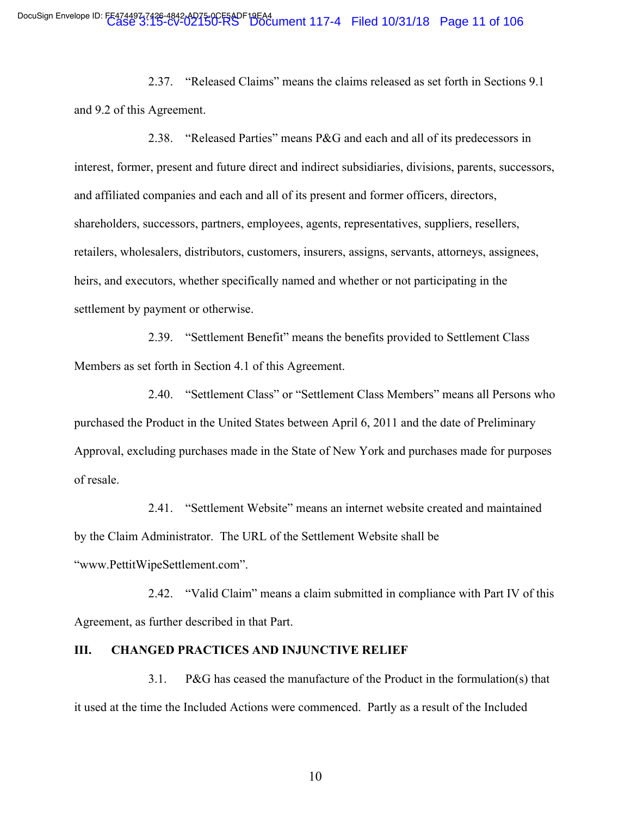2.37. "Released Claims" means the claims released as set forth in Sections 9.1 and 9.2 of this Agreement.

2.38. "Released Parties" means P&G and each and all of its predecessors in interest, former, present and future direct and indirect subsidiaries, divisions, parents, successors, and affiliated companies and each and all of its present and former officers, directors, shareholders, successors, partners, employees, agents, representatives, suppliers, resellers, retailers, wholesalers, distributors, customers, insurers, assigns, servants, attorneys, assignees, heirs, and executors, whether specifically named and whether or not participating in the settlement by payment or otherwise.

2.39. "Settlement Benefit" means the benefits provided to Settlement Class Members as set forth in Section 4.1 of this Agreement.

2.40. "Settlement Class" or "Settlement Class Members" means all Persons who purchased the Product in the United States between April 6, 2011 and the date of Preliminary Approval, excluding purchases made in the State of New York and purchases made for purposes of resale.

2.41. "Settlement Website" means an internet website created and maintained by the Claim Administrator. The URL of the Settlement Website shall be "www.PettitWipeSettlement.com".

2.42. "Valid Claim" means a claim submitted in compliance with Part IV of this Agreement, as further described in that Part.

### **III. CHANGED PRACTICES AND INJUNCTIVE RELIEF**

3.1. P&G has ceased the manufacture of the Product in the formulation(s) that it used at the time the Included Actions were commenced. Partly as a result of the Included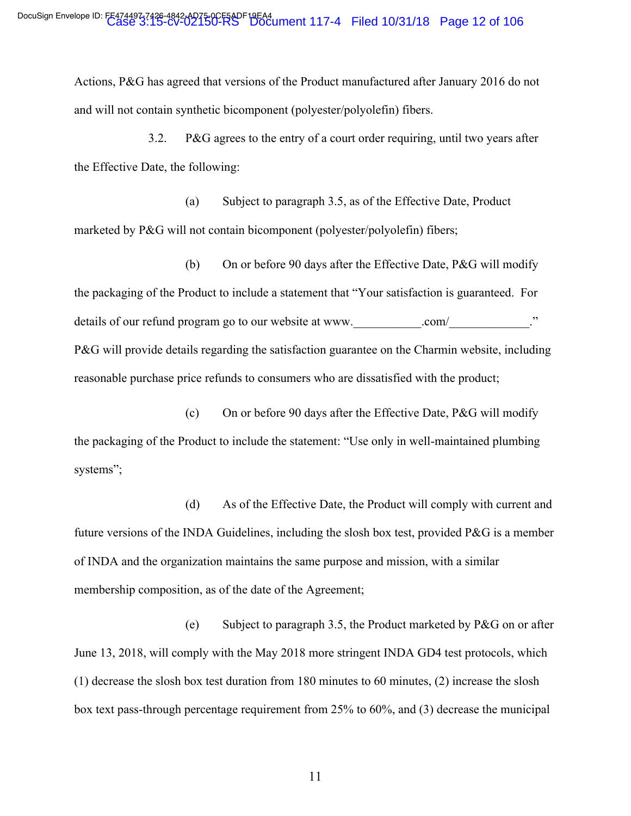Actions, P&G has agreed that versions of the Product manufactured after January 2016 do not and will not contain synthetic bicomponent (polyester/polyolefin) fibers.

3.2. P&G agrees to the entry of a court order requiring, until two years after the Effective Date, the following:

(a) Subject to paragraph 3.5, as of the Effective Date, Product marketed by P&G will not contain bicomponent (polyester/polyolefin) fibers;

(b) On or before 90 days after the Effective Date, P&G will modify the packaging of the Product to include a statement that "Your satisfaction is guaranteed. For details of our refund program go to our website at www. com/ P&G will provide details regarding the satisfaction guarantee on the Charmin website, including reasonable purchase price refunds to consumers who are dissatisfied with the product;

(c) On or before 90 days after the Effective Date, P&G will modify the packaging of the Product to include the statement: "Use only in well-maintained plumbing systems";

(d) As of the Effective Date, the Product will comply with current and future versions of the INDA Guidelines, including the slosh box test, provided P&G is a member of INDA and the organization maintains the same purpose and mission, with a similar membership composition, as of the date of the Agreement;

(e) Subject to paragraph 3.5, the Product marketed by P&G on or after June 13, 2018, will comply with the May 2018 more stringent INDA GD4 test protocols, which (1) decrease the slosh box test duration from 180 minutes to 60 minutes, (2) increase the slosh box text pass-through percentage requirement from 25% to 60%, and (3) decrease the municipal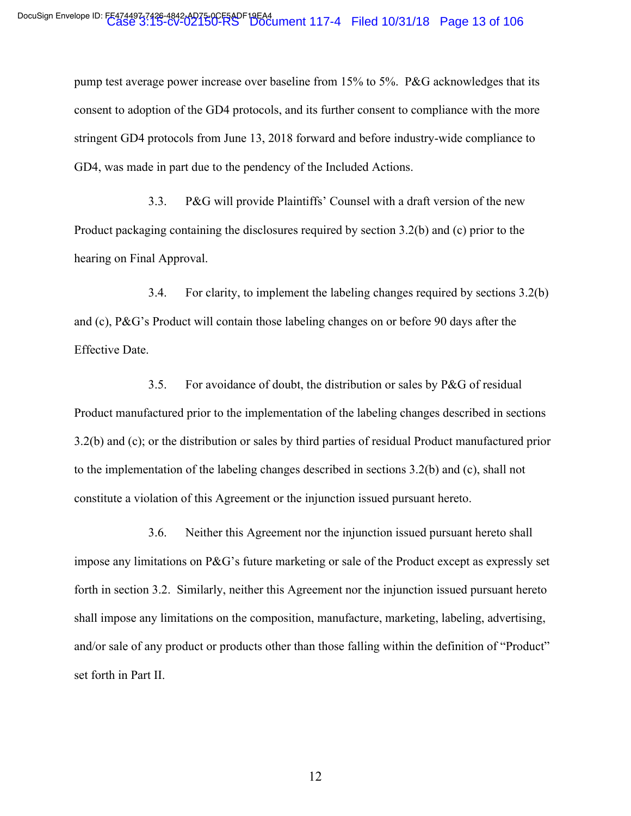pump test average power increase over baseline from 15% to 5%. P&G acknowledges that its consent to adoption of the GD4 protocols, and its further consent to compliance with the more stringent GD4 protocols from June 13, 2018 forward and before industry-wide compliance to GD4, was made in part due to the pendency of the Included Actions.

3.3. P&G will provide Plaintiffs' Counsel with a draft version of the new Product packaging containing the disclosures required by section 3.2(b) and (c) prior to the hearing on Final Approval.

3.4. For clarity, to implement the labeling changes required by sections 3.2(b) and (c), P&G's Product will contain those labeling changes on or before 90 days after the Effective Date.

3.5. For avoidance of doubt, the distribution or sales by P&G of residual Product manufactured prior to the implementation of the labeling changes described in sections 3.2(b) and (c); or the distribution or sales by third parties of residual Product manufactured prior to the implementation of the labeling changes described in sections 3.2(b) and (c), shall not constitute a violation of this Agreement or the injunction issued pursuant hereto.

3.6. Neither this Agreement nor the injunction issued pursuant hereto shall impose any limitations on P&G's future marketing or sale of the Product except as expressly set forth in section 3.2. Similarly, neither this Agreement nor the injunction issued pursuant hereto shall impose any limitations on the composition, manufacture, marketing, labeling, advertising, and/or sale of any product or products other than those falling within the definition of "Product" set forth in Part II.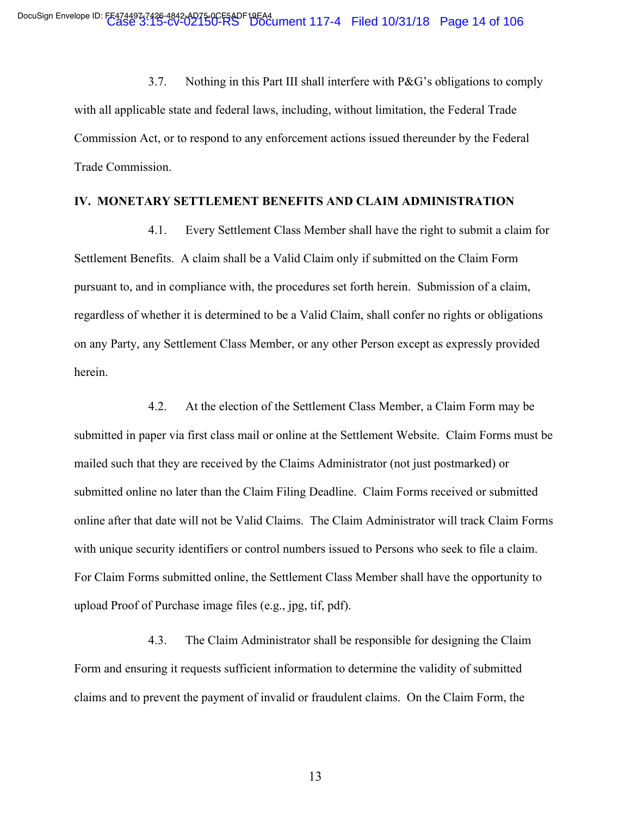3.7. Nothing in this Part III shall interfere with P&G's obligations to comply with all applicable state and federal laws, including, without limitation, the Federal Trade Commission Act, or to respond to any enforcement actions issued thereunder by the Federal Trade Commission.

#### **IV. MONETARY SETTLEMENT BENEFITS AND CLAIM ADMINISTRATION**

4.1. Every Settlement Class Member shall have the right to submit a claim for Settlement Benefits. A claim shall be a Valid Claim only if submitted on the Claim Form pursuant to, and in compliance with, the procedures set forth herein. Submission of a claim, regardless of whether it is determined to be a Valid Claim, shall confer no rights or obligations on any Party, any Settlement Class Member, or any other Person except as expressly provided herein.

4.2. At the election of the Settlement Class Member, a Claim Form may be submitted in paper via first class mail or online at the Settlement Website. Claim Forms must be mailed such that they are received by the Claims Administrator (not just postmarked) or submitted online no later than the Claim Filing Deadline. Claim Forms received or submitted online after that date will not be Valid Claims. The Claim Administrator will track Claim Forms with unique security identifiers or control numbers issued to Persons who seek to file a claim. For Claim Forms submitted online, the Settlement Class Member shall have the opportunity to upload Proof of Purchase image files (e.g., jpg, tif, pdf).

4.3. The Claim Administrator shall be responsible for designing the Claim Form and ensuring it requests sufficient information to determine the validity of submitted claims and to prevent the payment of invalid or fraudulent claims. On the Claim Form, the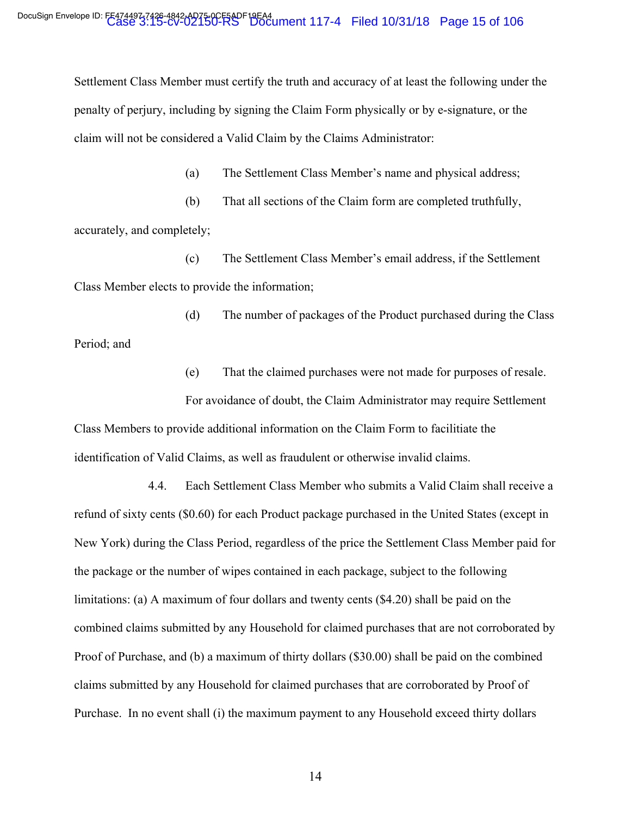Settlement Class Member must certify the truth and accuracy of at least the following under the penalty of perjury, including by signing the Claim Form physically or by e-signature, or the claim will not be considered a Valid Claim by the Claims Administrator:

(a) The Settlement Class Member's name and physical address;

(b) That all sections of the Claim form are completed truthfully, accurately, and completely;

(c) The Settlement Class Member's email address, if the Settlement Class Member elects to provide the information;

(d) The number of packages of the Product purchased during the Class Period; and

(e) That the claimed purchases were not made for purposes of resale.

For avoidance of doubt, the Claim Administrator may require Settlement Class Members to provide additional information on the Claim Form to facilitiate the identification of Valid Claims, as well as fraudulent or otherwise invalid claims.

4.4. Each Settlement Class Member who submits a Valid Claim shall receive a refund of sixty cents (\$0.60) for each Product package purchased in the United States (except in New York) during the Class Period, regardless of the price the Settlement Class Member paid for the package or the number of wipes contained in each package, subject to the following limitations: (a) A maximum of four dollars and twenty cents (\$4.20) shall be paid on the combined claims submitted by any Household for claimed purchases that are not corroborated by Proof of Purchase, and (b) a maximum of thirty dollars (\$30.00) shall be paid on the combined claims submitted by any Household for claimed purchases that are corroborated by Proof of Purchase. In no event shall (i) the maximum payment to any Household exceed thirty dollars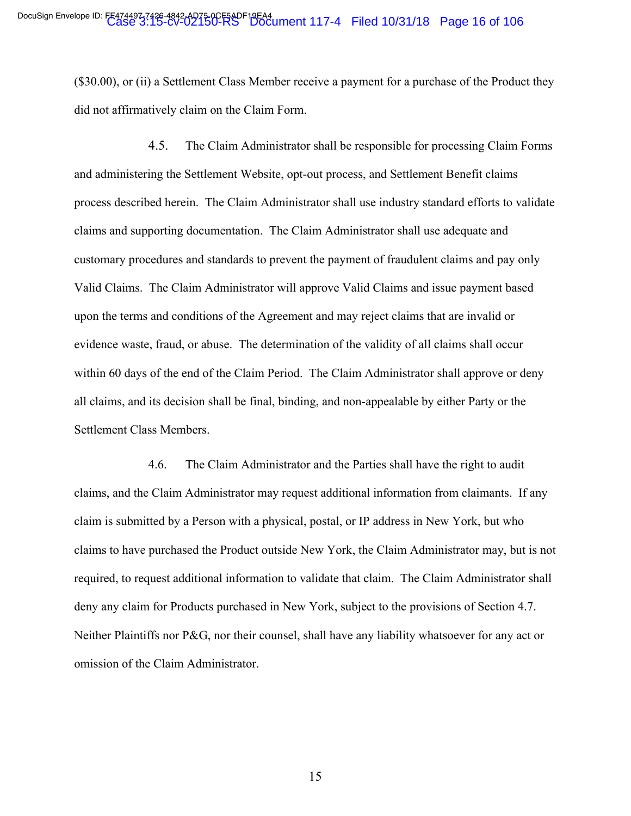(\$30.00), or (ii) a Settlement Class Member receive a payment for a purchase of the Product they did not affirmatively claim on the Claim Form.

4.5. The Claim Administrator shall be responsible for processing Claim Forms and administering the Settlement Website, opt-out process, and Settlement Benefit claims process described herein. The Claim Administrator shall use industry standard efforts to validate claims and supporting documentation. The Claim Administrator shall use adequate and customary procedures and standards to prevent the payment of fraudulent claims and pay only Valid Claims. The Claim Administrator will approve Valid Claims and issue payment based upon the terms and conditions of the Agreement and may reject claims that are invalid or evidence waste, fraud, or abuse. The determination of the validity of all claims shall occur within 60 days of the end of the Claim Period. The Claim Administrator shall approve or deny all claims, and its decision shall be final, binding, and non-appealable by either Party or the Settlement Class Members.

4.6. The Claim Administrator and the Parties shall have the right to audit claims, and the Claim Administrator may request additional information from claimants. If any claim is submitted by a Person with a physical, postal, or IP address in New York, but who claims to have purchased the Product outside New York, the Claim Administrator may, but is not required, to request additional information to validate that claim. The Claim Administrator shall deny any claim for Products purchased in New York, subject to the provisions of Section 4.7. Neither Plaintiffs nor P&G, nor their counsel, shall have any liability whatsoever for any act or omission of the Claim Administrator.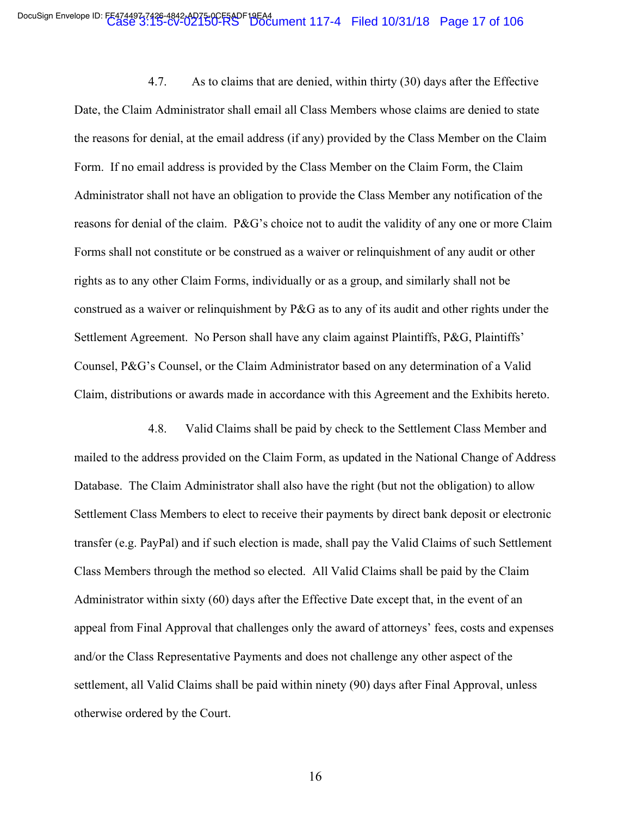4.7. As to claims that are denied, within thirty (30) days after the Effective Date, the Claim Administrator shall email all Class Members whose claims are denied to state the reasons for denial, at the email address (if any) provided by the Class Member on the Claim Form. If no email address is provided by the Class Member on the Claim Form, the Claim Administrator shall not have an obligation to provide the Class Member any notification of the reasons for denial of the claim. P&G's choice not to audit the validity of any one or more Claim Forms shall not constitute or be construed as a waiver or relinquishment of any audit or other rights as to any other Claim Forms, individually or as a group, and similarly shall not be construed as a waiver or relinquishment by P&G as to any of its audit and other rights under the Settlement Agreement. No Person shall have any claim against Plaintiffs, P&G, Plaintiffs' Counsel, P&G's Counsel, or the Claim Administrator based on any determination of a Valid Claim, distributions or awards made in accordance with this Agreement and the Exhibits hereto.

4.8. Valid Claims shall be paid by check to the Settlement Class Member and mailed to the address provided on the Claim Form, as updated in the National Change of Address Database. The Claim Administrator shall also have the right (but not the obligation) to allow Settlement Class Members to elect to receive their payments by direct bank deposit or electronic transfer (e.g. PayPal) and if such election is made, shall pay the Valid Claims of such Settlement Class Members through the method so elected. All Valid Claims shall be paid by the Claim Administrator within sixty (60) days after the Effective Date except that, in the event of an appeal from Final Approval that challenges only the award of attorneys' fees, costs and expenses and/or the Class Representative Payments and does not challenge any other aspect of the settlement, all Valid Claims shall be paid within ninety (90) days after Final Approval, unless otherwise ordered by the Court.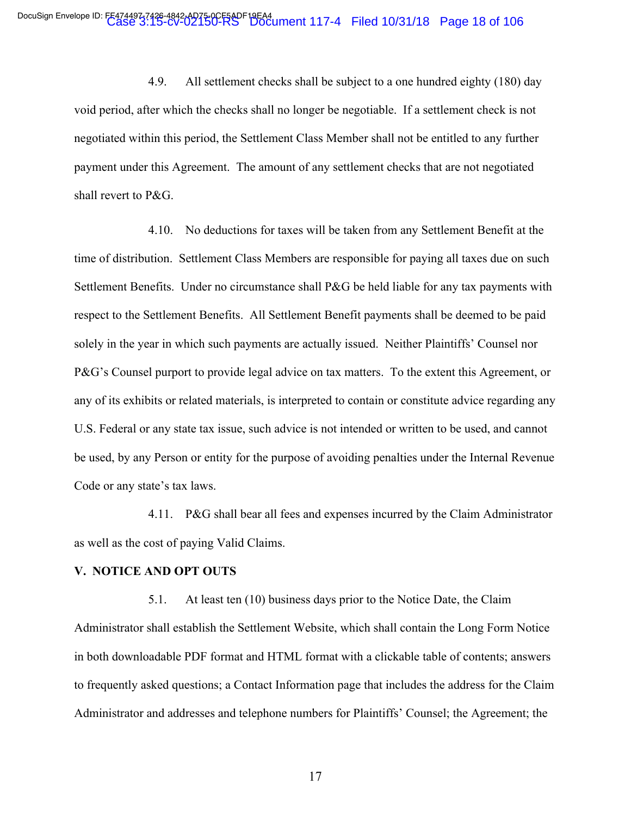4.9. All settlement checks shall be subject to a one hundred eighty (180) day void period, after which the checks shall no longer be negotiable. If a settlement check is not negotiated within this period, the Settlement Class Member shall not be entitled to any further payment under this Agreement. The amount of any settlement checks that are not negotiated shall revert to P&G.

4.10. No deductions for taxes will be taken from any Settlement Benefit at the time of distribution. Settlement Class Members are responsible for paying all taxes due on such Settlement Benefits. Under no circumstance shall P&G be held liable for any tax payments with respect to the Settlement Benefits. All Settlement Benefit payments shall be deemed to be paid solely in the year in which such payments are actually issued. Neither Plaintiffs' Counsel nor P&G's Counsel purport to provide legal advice on tax matters. To the extent this Agreement, or any of its exhibits or related materials, is interpreted to contain or constitute advice regarding any U.S. Federal or any state tax issue, such advice is not intended or written to be used, and cannot be used, by any Person or entity for the purpose of avoiding penalties under the Internal Revenue Code or any state's tax laws.

4.11. P&G shall bear all fees and expenses incurred by the Claim Administrator as well as the cost of paying Valid Claims.

#### **V. NOTICE AND OPT OUTS**

5.1. At least ten (10) business days prior to the Notice Date, the Claim Administrator shall establish the Settlement Website, which shall contain the Long Form Notice in both downloadable PDF format and HTML format with a clickable table of contents; answers to frequently asked questions; a Contact Information page that includes the address for the Claim Administrator and addresses and telephone numbers for Plaintiffs' Counsel; the Agreement; the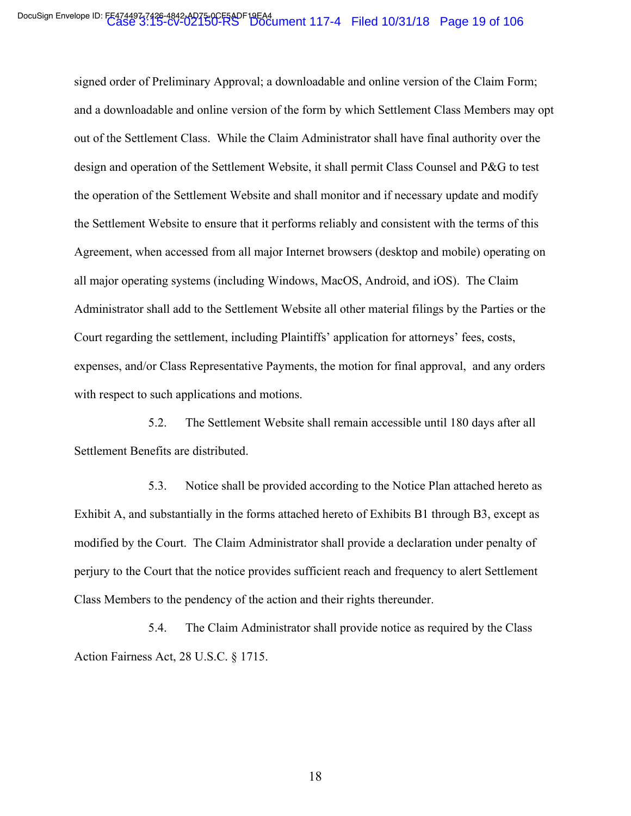signed order of Preliminary Approval; a downloadable and online version of the Claim Form; and a downloadable and online version of the form by which Settlement Class Members may opt out of the Settlement Class. While the Claim Administrator shall have final authority over the design and operation of the Settlement Website, it shall permit Class Counsel and P&G to test the operation of the Settlement Website and shall monitor and if necessary update and modify the Settlement Website to ensure that it performs reliably and consistent with the terms of this Agreement, when accessed from all major Internet browsers (desktop and mobile) operating on all major operating systems (including Windows, MacOS, Android, and iOS). The Claim Administrator shall add to the Settlement Website all other material filings by the Parties or the Court regarding the settlement, including Plaintiffs' application for attorneys' fees, costs, expenses, and/or Class Representative Payments, the motion for final approval, and any orders with respect to such applications and motions.

5.2. The Settlement Website shall remain accessible until 180 days after all Settlement Benefits are distributed.

5.3. Notice shall be provided according to the Notice Plan attached hereto as Exhibit A, and substantially in the forms attached hereto of Exhibits B1 through B3, except as modified by the Court. The Claim Administrator shall provide a declaration under penalty of perjury to the Court that the notice provides sufficient reach and frequency to alert Settlement Class Members to the pendency of the action and their rights thereunder.

5.4. The Claim Administrator shall provide notice as required by the Class Action Fairness Act, 28 U.S.C. § 1715.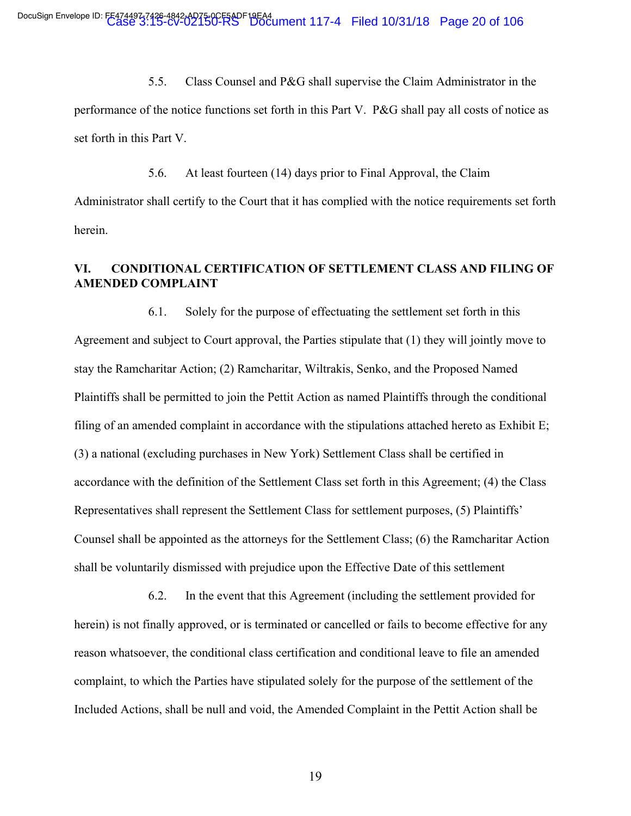5.5. Class Counsel and P&G shall supervise the Claim Administrator in the performance of the notice functions set forth in this Part V. P&G shall pay all costs of notice as set forth in this Part V.

5.6. At least fourteen (14) days prior to Final Approval, the Claim Administrator shall certify to the Court that it has complied with the notice requirements set forth herein.

# **VI. CONDITIONAL CERTIFICATION OF SETTLEMENT CLASS AND FILING OF AMENDED COMPLAINT**

6.1. Solely for the purpose of effectuating the settlement set forth in this Agreement and subject to Court approval, the Parties stipulate that (1) they will jointly move to stay the Ramcharitar Action; (2) Ramcharitar, Wiltrakis, Senko, and the Proposed Named Plaintiffs shall be permitted to join the Pettit Action as named Plaintiffs through the conditional filing of an amended complaint in accordance with the stipulations attached hereto as Exhibit E; (3) a national (excluding purchases in New York) Settlement Class shall be certified in accordance with the definition of the Settlement Class set forth in this Agreement; (4) the Class Representatives shall represent the Settlement Class for settlement purposes, (5) Plaintiffs' Counsel shall be appointed as the attorneys for the Settlement Class; (6) the Ramcharitar Action shall be voluntarily dismissed with prejudice upon the Effective Date of this settlement

6.2. In the event that this Agreement (including the settlement provided for herein) is not finally approved, or is terminated or cancelled or fails to become effective for any reason whatsoever, the conditional class certification and conditional leave to file an amended complaint, to which the Parties have stipulated solely for the purpose of the settlement of the Included Actions, shall be null and void, the Amended Complaint in the Pettit Action shall be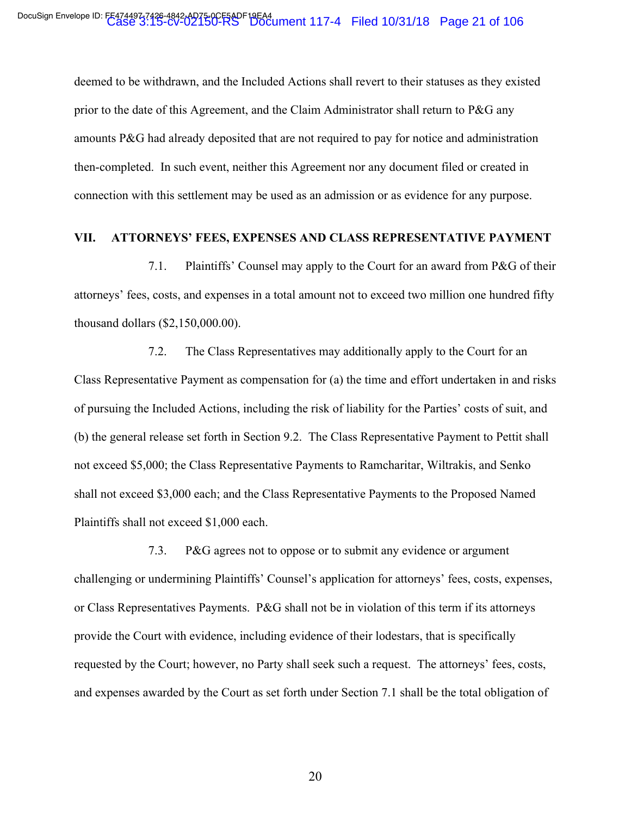deemed to be withdrawn, and the Included Actions shall revert to their statuses as they existed prior to the date of this Agreement, and the Claim Administrator shall return to P&G any amounts P&G had already deposited that are not required to pay for notice and administration then-completed. In such event, neither this Agreement nor any document filed or created in connection with this settlement may be used as an admission or as evidence for any purpose.

### **VII. ATTORNEYS' FEES, EXPENSES AND CLASS REPRESENTATIVE PAYMENT**

7.1. Plaintiffs' Counsel may apply to the Court for an award from P&G of their attorneys' fees, costs, and expenses in a total amount not to exceed two million one hundred fifty thousand dollars (\$2,150,000.00).

7.2. The Class Representatives may additionally apply to the Court for an Class Representative Payment as compensation for (a) the time and effort undertaken in and risks of pursuing the Included Actions, including the risk of liability for the Parties' costs of suit, and (b) the general release set forth in Section 9.2. The Class Representative Payment to Pettit shall not exceed \$5,000; the Class Representative Payments to Ramcharitar, Wiltrakis, and Senko shall not exceed \$3,000 each; and the Class Representative Payments to the Proposed Named Plaintiffs shall not exceed \$1,000 each.

7.3. P&G agrees not to oppose or to submit any evidence or argument challenging or undermining Plaintiffs' Counsel's application for attorneys' fees, costs, expenses, or Class Representatives Payments. P&G shall not be in violation of this term if its attorneys provide the Court with evidence, including evidence of their lodestars, that is specifically requested by the Court; however, no Party shall seek such a request. The attorneys' fees, costs, and expenses awarded by the Court as set forth under Section 7.1 shall be the total obligation of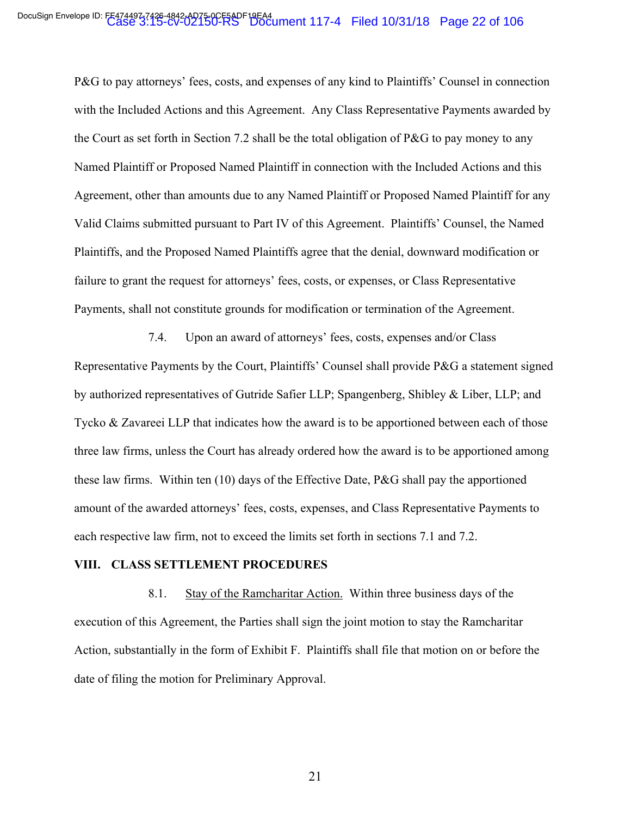P&G to pay attorneys' fees, costs, and expenses of any kind to Plaintiffs' Counsel in connection with the Included Actions and this Agreement. Any Class Representative Payments awarded by the Court as set forth in Section 7.2 shall be the total obligation of P&G to pay money to any Named Plaintiff or Proposed Named Plaintiff in connection with the Included Actions and this Agreement, other than amounts due to any Named Plaintiff or Proposed Named Plaintiff for any Valid Claims submitted pursuant to Part IV of this Agreement. Plaintiffs' Counsel, the Named Plaintiffs, and the Proposed Named Plaintiffs agree that the denial, downward modification or failure to grant the request for attorneys' fees, costs, or expenses, or Class Representative Payments, shall not constitute grounds for modification or termination of the Agreement.

7.4. Upon an award of attorneys' fees, costs, expenses and/or Class Representative Payments by the Court, Plaintiffs' Counsel shall provide P&G a statement signed by authorized representatives of Gutride Safier LLP; Spangenberg, Shibley & Liber, LLP; and Tycko & Zavareei LLP that indicates how the award is to be apportioned between each of those three law firms, unless the Court has already ordered how the award is to be apportioned among these law firms. Within ten (10) days of the Effective Date, P&G shall pay the apportioned amount of the awarded attorneys' fees, costs, expenses, and Class Representative Payments to each respective law firm, not to exceed the limits set forth in sections 7.1 and 7.2.

### **VIII. CLASS SETTLEMENT PROCEDURES**

8.1. Stay of the Ramcharitar Action. Within three business days of the execution of this Agreement, the Parties shall sign the joint motion to stay the Ramcharitar Action, substantially in the form of Exhibit F. Plaintiffs shall file that motion on or before the date of filing the motion for Preliminary Approval.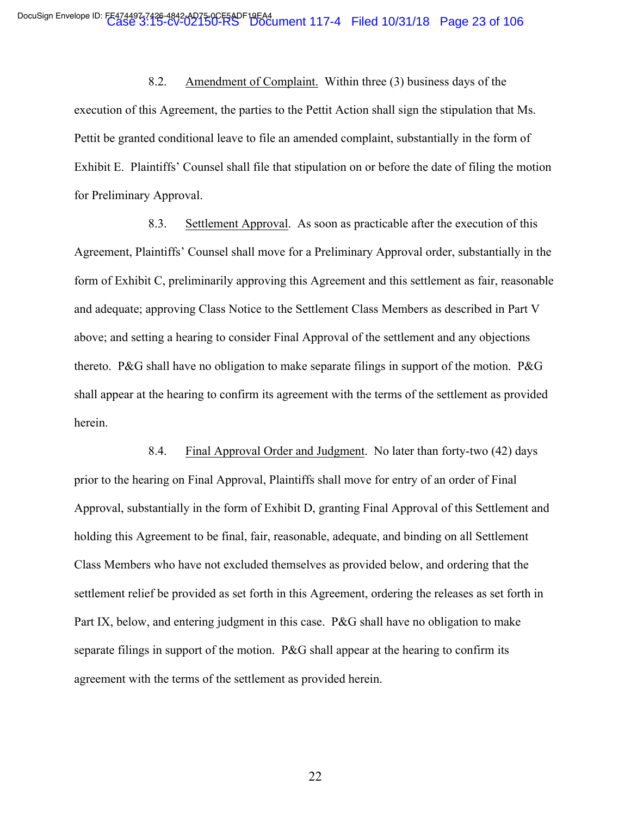8.2. Amendment of Complaint. Within three (3) business days of the execution of this Agreement, the parties to the Pettit Action shall sign the stipulation that Ms. Pettit be granted conditional leave to file an amended complaint, substantially in the form of Exhibit E. Plaintiffs' Counsel shall file that stipulation on or before the date of filing the motion for Preliminary Approval.

8.3. Settlement Approval. As soon as practicable after the execution of this Agreement, Plaintiffs' Counsel shall move for a Preliminary Approval order, substantially in the form of Exhibit C, preliminarily approving this Agreement and this settlement as fair, reasonable and adequate; approving Class Notice to the Settlement Class Members as described in Part V above; and setting a hearing to consider Final Approval of the settlement and any objections thereto. P&G shall have no obligation to make separate filings in support of the motion. P&G shall appear at the hearing to confirm its agreement with the terms of the settlement as provided herein.

8.4. Final Approval Order and Judgment. No later than forty-two (42) days prior to the hearing on Final Approval, Plaintiffs shall move for entry of an order of Final Approval, substantially in the form of Exhibit D, granting Final Approval of this Settlement and holding this Agreement to be final, fair, reasonable, adequate, and binding on all Settlement Class Members who have not excluded themselves as provided below, and ordering that the settlement relief be provided as set forth in this Agreement, ordering the releases as set forth in Part IX, below, and entering judgment in this case. P&G shall have no obligation to make separate filings in support of the motion. P&G shall appear at the hearing to confirm its agreement with the terms of the settlement as provided herein.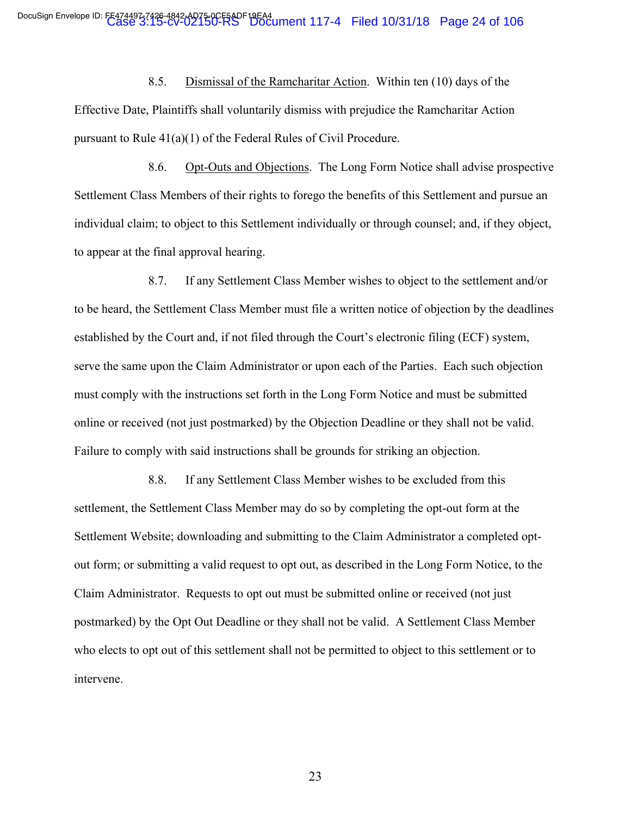8.5. Dismissal of the Ramcharitar Action. Within ten (10) days of the Effective Date, Plaintiffs shall voluntarily dismiss with prejudice the Ramcharitar Action pursuant to Rule 41(a)(1) of the Federal Rules of Civil Procedure.

8.6. Opt-Outs and Objections. The Long Form Notice shall advise prospective Settlement Class Members of their rights to forego the benefits of this Settlement and pursue an individual claim; to object to this Settlement individually or through counsel; and, if they object, to appear at the final approval hearing.

8.7. If any Settlement Class Member wishes to object to the settlement and/or to be heard, the Settlement Class Member must file a written notice of objection by the deadlines established by the Court and, if not filed through the Court's electronic filing (ECF) system, serve the same upon the Claim Administrator or upon each of the Parties. Each such objection must comply with the instructions set forth in the Long Form Notice and must be submitted online or received (not just postmarked) by the Objection Deadline or they shall not be valid. Failure to comply with said instructions shall be grounds for striking an objection.

8.8. If any Settlement Class Member wishes to be excluded from this settlement, the Settlement Class Member may do so by completing the opt-out form at the Settlement Website; downloading and submitting to the Claim Administrator a completed optout form; or submitting a valid request to opt out, as described in the Long Form Notice, to the Claim Administrator. Requests to opt out must be submitted online or received (not just postmarked) by the Opt Out Deadline or they shall not be valid. A Settlement Class Member who elects to opt out of this settlement shall not be permitted to object to this settlement or to intervene.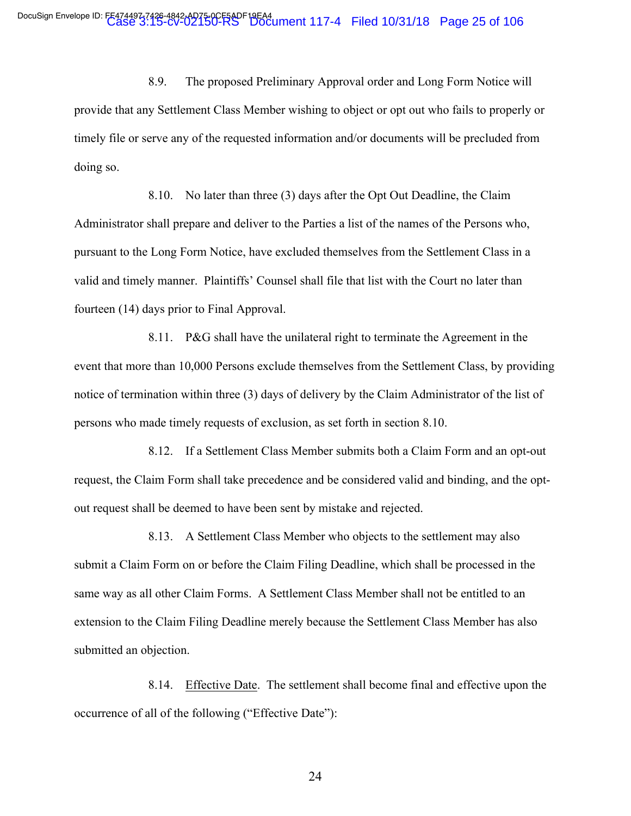8.9. The proposed Preliminary Approval order and Long Form Notice will provide that any Settlement Class Member wishing to object or opt out who fails to properly or timely file or serve any of the requested information and/or documents will be precluded from doing so.

8.10. No later than three (3) days after the Opt Out Deadline, the Claim Administrator shall prepare and deliver to the Parties a list of the names of the Persons who, pursuant to the Long Form Notice, have excluded themselves from the Settlement Class in a valid and timely manner. Plaintiffs' Counsel shall file that list with the Court no later than fourteen (14) days prior to Final Approval.

8.11. P&G shall have the unilateral right to terminate the Agreement in the event that more than 10,000 Persons exclude themselves from the Settlement Class, by providing notice of termination within three (3) days of delivery by the Claim Administrator of the list of persons who made timely requests of exclusion, as set forth in section 8.10.

8.12. If a Settlement Class Member submits both a Claim Form and an opt-out request, the Claim Form shall take precedence and be considered valid and binding, and the optout request shall be deemed to have been sent by mistake and rejected.

8.13. A Settlement Class Member who objects to the settlement may also submit a Claim Form on or before the Claim Filing Deadline, which shall be processed in the same way as all other Claim Forms. A Settlement Class Member shall not be entitled to an extension to the Claim Filing Deadline merely because the Settlement Class Member has also submitted an objection.

8.14. Effective Date. The settlement shall become final and effective upon the occurrence of all of the following ("Effective Date"):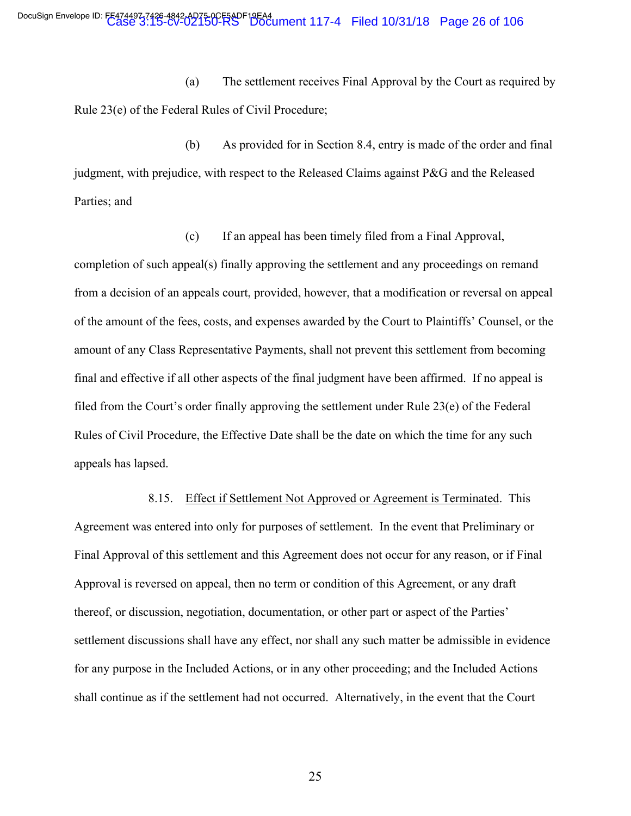(a) The settlement receives Final Approval by the Court as required by Rule 23(e) of the Federal Rules of Civil Procedure;

(b) As provided for in Section 8.4, entry is made of the order and final judgment, with prejudice, with respect to the Released Claims against P&G and the Released Parties; and

(c) If an appeal has been timely filed from a Final Approval, completion of such appeal(s) finally approving the settlement and any proceedings on remand from a decision of an appeals court, provided, however, that a modification or reversal on appeal of the amount of the fees, costs, and expenses awarded by the Court to Plaintiffs' Counsel, or the amount of any Class Representative Payments, shall not prevent this settlement from becoming final and effective if all other aspects of the final judgment have been affirmed. If no appeal is filed from the Court's order finally approving the settlement under Rule 23(e) of the Federal Rules of Civil Procedure, the Effective Date shall be the date on which the time for any such appeals has lapsed.

8.15. Effect if Settlement Not Approved or Agreement is Terminated. This Agreement was entered into only for purposes of settlement. In the event that Preliminary or Final Approval of this settlement and this Agreement does not occur for any reason, or if Final Approval is reversed on appeal, then no term or condition of this Agreement, or any draft thereof, or discussion, negotiation, documentation, or other part or aspect of the Parties' settlement discussions shall have any effect, nor shall any such matter be admissible in evidence for any purpose in the Included Actions, or in any other proceeding; and the Included Actions shall continue as if the settlement had not occurred. Alternatively, in the event that the Court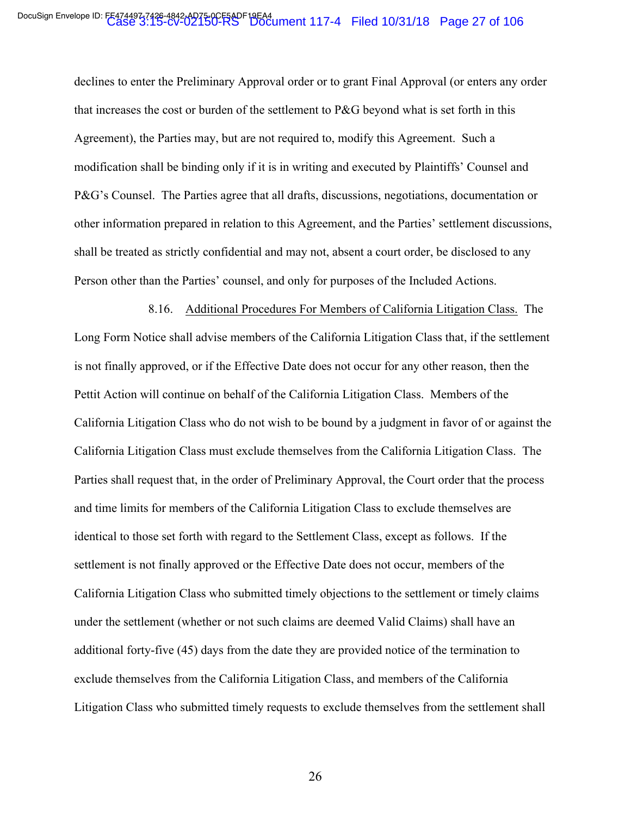declines to enter the Preliminary Approval order or to grant Final Approval (or enters any order that increases the cost or burden of the settlement to P&G beyond what is set forth in this Agreement), the Parties may, but are not required to, modify this Agreement. Such a modification shall be binding only if it is in writing and executed by Plaintiffs' Counsel and P&G's Counsel. The Parties agree that all drafts, discussions, negotiations, documentation or other information prepared in relation to this Agreement, and the Parties' settlement discussions, shall be treated as strictly confidential and may not, absent a court order, be disclosed to any Person other than the Parties' counsel, and only for purposes of the Included Actions.

8.16. Additional Procedures For Members of California Litigation Class. The Long Form Notice shall advise members of the California Litigation Class that, if the settlement is not finally approved, or if the Effective Date does not occur for any other reason, then the Pettit Action will continue on behalf of the California Litigation Class. Members of the California Litigation Class who do not wish to be bound by a judgment in favor of or against the California Litigation Class must exclude themselves from the California Litigation Class. The Parties shall request that, in the order of Preliminary Approval, the Court order that the process and time limits for members of the California Litigation Class to exclude themselves are identical to those set forth with regard to the Settlement Class, except as follows. If the settlement is not finally approved or the Effective Date does not occur, members of the California Litigation Class who submitted timely objections to the settlement or timely claims under the settlement (whether or not such claims are deemed Valid Claims) shall have an additional forty-five (45) days from the date they are provided notice of the termination to exclude themselves from the California Litigation Class, and members of the California Litigation Class who submitted timely requests to exclude themselves from the settlement shall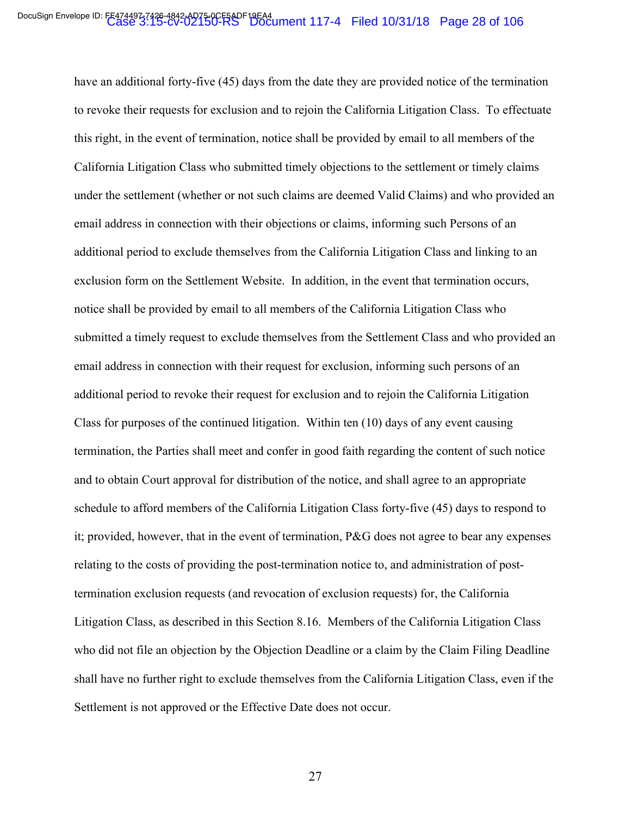have an additional forty-five (45) days from the date they are provided notice of the termination to revoke their requests for exclusion and to rejoin the California Litigation Class. To effectuate this right, in the event of termination, notice shall be provided by email to all members of the California Litigation Class who submitted timely objections to the settlement or timely claims under the settlement (whether or not such claims are deemed Valid Claims) and who provided an email address in connection with their objections or claims, informing such Persons of an additional period to exclude themselves from the California Litigation Class and linking to an exclusion form on the Settlement Website. In addition, in the event that termination occurs, notice shall be provided by email to all members of the California Litigation Class who submitted a timely request to exclude themselves from the Settlement Class and who provided an email address in connection with their request for exclusion, informing such persons of an additional period to revoke their request for exclusion and to rejoin the California Litigation Class for purposes of the continued litigation. Within ten (10) days of any event causing termination, the Parties shall meet and confer in good faith regarding the content of such notice and to obtain Court approval for distribution of the notice, and shall agree to an appropriate schedule to afford members of the California Litigation Class forty-five (45) days to respond to it; provided, however, that in the event of termination, P&G does not agree to bear any expenses relating to the costs of providing the post-termination notice to, and administration of posttermination exclusion requests (and revocation of exclusion requests) for, the California Litigation Class, as described in this Section 8.16. Members of the California Litigation Class who did not file an objection by the Objection Deadline or a claim by the Claim Filing Deadline shall have no further right to exclude themselves from the California Litigation Class, even if the Settlement is not approved or the Effective Date does not occur.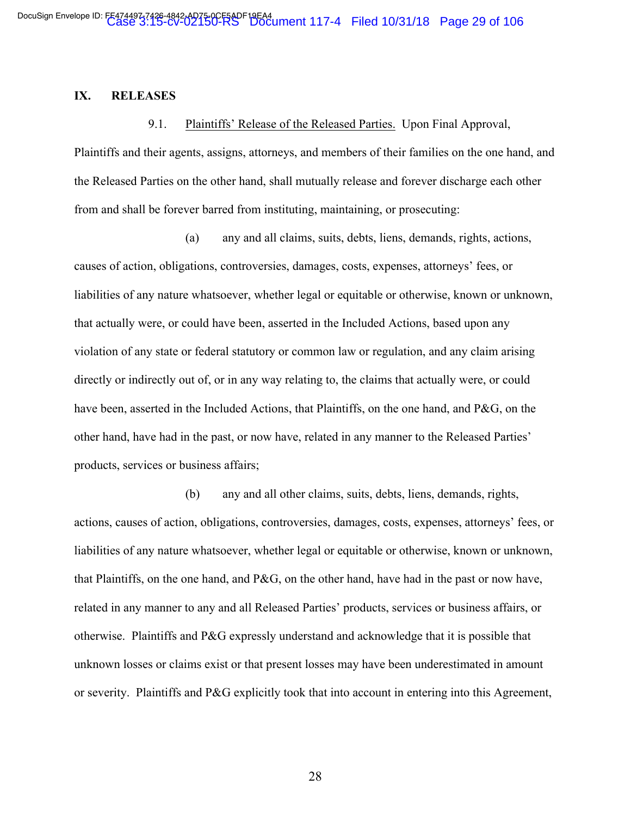### **IX. RELEASES**

9.1. Plaintiffs' Release of the Released Parties. Upon Final Approval,

Plaintiffs and their agents, assigns, attorneys, and members of their families on the one hand, and the Released Parties on the other hand, shall mutually release and forever discharge each other from and shall be forever barred from instituting, maintaining, or prosecuting:

(a) any and all claims, suits, debts, liens, demands, rights, actions, causes of action, obligations, controversies, damages, costs, expenses, attorneys' fees, or liabilities of any nature whatsoever, whether legal or equitable or otherwise, known or unknown, that actually were, or could have been, asserted in the Included Actions, based upon any violation of any state or federal statutory or common law or regulation, and any claim arising directly or indirectly out of, or in any way relating to, the claims that actually were, or could have been, asserted in the Included Actions, that Plaintiffs, on the one hand, and P&G, on the other hand, have had in the past, or now have, related in any manner to the Released Parties' products, services or business affairs;

(b) any and all other claims, suits, debts, liens, demands, rights, actions, causes of action, obligations, controversies, damages, costs, expenses, attorneys' fees, or liabilities of any nature whatsoever, whether legal or equitable or otherwise, known or unknown, that Plaintiffs, on the one hand, and P&G, on the other hand, have had in the past or now have, related in any manner to any and all Released Parties' products, services or business affairs, or otherwise. Plaintiffs and P&G expressly understand and acknowledge that it is possible that unknown losses or claims exist or that present losses may have been underestimated in amount or severity. Plaintiffs and P&G explicitly took that into account in entering into this Agreement,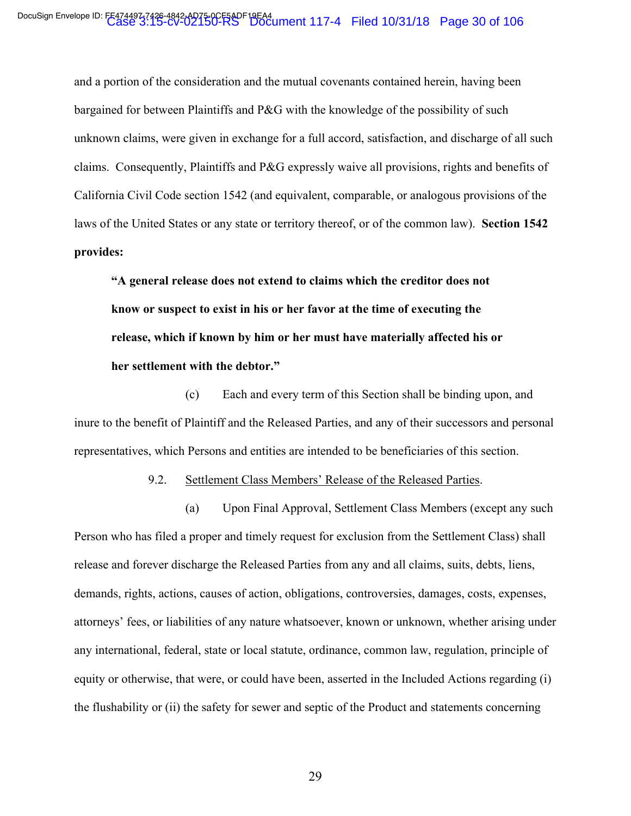and a portion of the consideration and the mutual covenants contained herein, having been bargained for between Plaintiffs and P&G with the knowledge of the possibility of such unknown claims, were given in exchange for a full accord, satisfaction, and discharge of all such claims. Consequently, Plaintiffs and P&G expressly waive all provisions, rights and benefits of California Civil Code section 1542 (and equivalent, comparable, or analogous provisions of the laws of the United States or any state or territory thereof, or of the common law). **Section 1542 provides:**

**"A general release does not extend to claims which the creditor does not know or suspect to exist in his or her favor at the time of executing the release, which if known by him or her must have materially affected his or her settlement with the debtor."**

(c) Each and every term of this Section shall be binding upon, and inure to the benefit of Plaintiff and the Released Parties, and any of their successors and personal representatives, which Persons and entities are intended to be beneficiaries of this section.

9.2. Settlement Class Members' Release of the Released Parties.

(a) Upon Final Approval, Settlement Class Members (except any such Person who has filed a proper and timely request for exclusion from the Settlement Class) shall release and forever discharge the Released Parties from any and all claims, suits, debts, liens, demands, rights, actions, causes of action, obligations, controversies, damages, costs, expenses, attorneys' fees, or liabilities of any nature whatsoever, known or unknown, whether arising under any international, federal, state or local statute, ordinance, common law, regulation, principle of equity or otherwise, that were, or could have been, asserted in the Included Actions regarding (i) the flushability or (ii) the safety for sewer and septic of the Product and statements concerning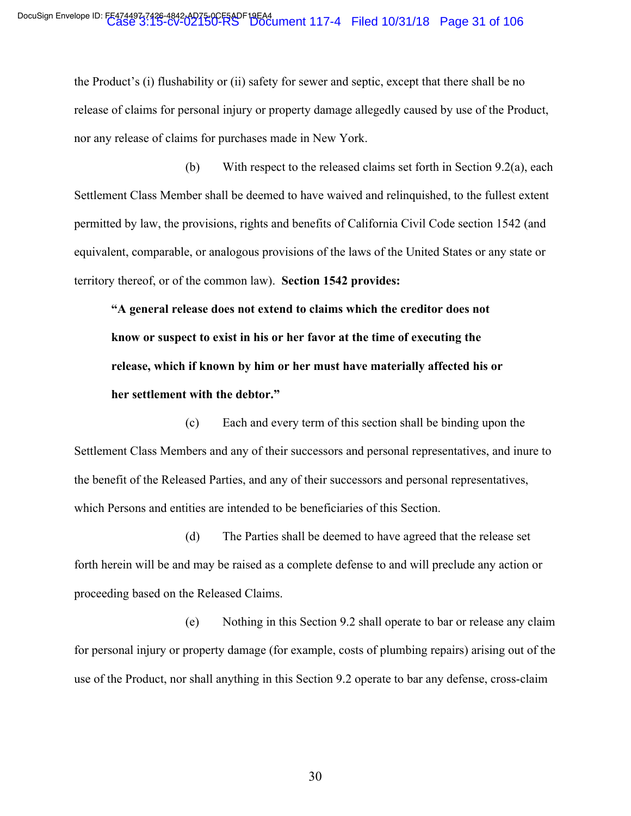the Product's (i) flushability or (ii) safety for sewer and septic, except that there shall be no release of claims for personal injury or property damage allegedly caused by use of the Product, nor any release of claims for purchases made in New York.

(b) With respect to the released claims set forth in Section 9.2(a), each Settlement Class Member shall be deemed to have waived and relinquished, to the fullest extent permitted by law, the provisions, rights and benefits of California Civil Code section 1542 (and equivalent, comparable, or analogous provisions of the laws of the United States or any state or territory thereof, or of the common law). **Section 1542 provides:**

**"A general release does not extend to claims which the creditor does not know or suspect to exist in his or her favor at the time of executing the release, which if known by him or her must have materially affected his or her settlement with the debtor."**

(c) Each and every term of this section shall be binding upon the Settlement Class Members and any of their successors and personal representatives, and inure to the benefit of the Released Parties, and any of their successors and personal representatives, which Persons and entities are intended to be beneficiaries of this Section.

(d) The Parties shall be deemed to have agreed that the release set forth herein will be and may be raised as a complete defense to and will preclude any action or proceeding based on the Released Claims.

(e) Nothing in this Section 9.2 shall operate to bar or release any claim for personal injury or property damage (for example, costs of plumbing repairs) arising out of the use of the Product, nor shall anything in this Section 9.2 operate to bar any defense, cross-claim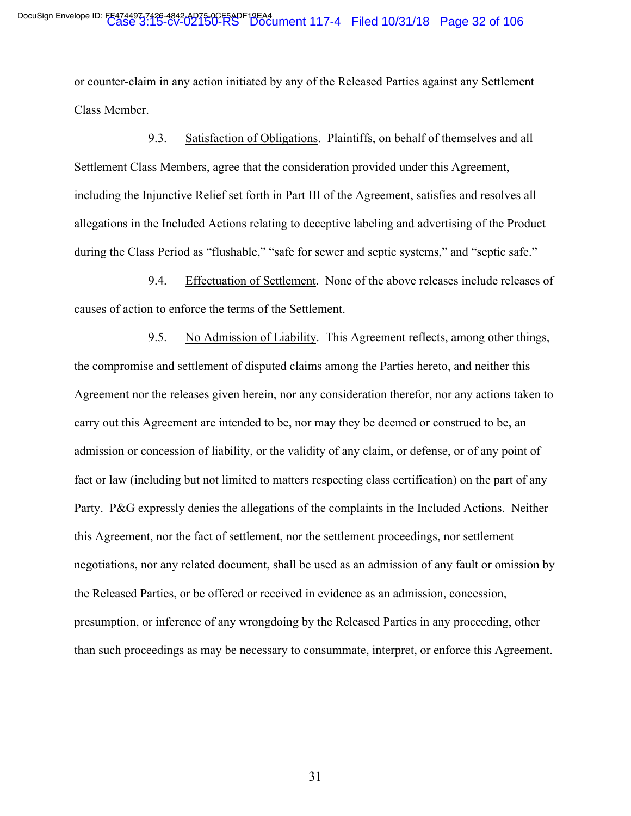or counter-claim in any action initiated by any of the Released Parties against any Settlement Class Member.

9.3. Satisfaction of Obligations. Plaintiffs, on behalf of themselves and all Settlement Class Members, agree that the consideration provided under this Agreement, including the Injunctive Relief set forth in Part III of the Agreement, satisfies and resolves all allegations in the Included Actions relating to deceptive labeling and advertising of the Product during the Class Period as "flushable," "safe for sewer and septic systems," and "septic safe."

9.4. Effectuation of Settlement. None of the above releases include releases of causes of action to enforce the terms of the Settlement.

9.5. No Admission of Liability. This Agreement reflects, among other things, the compromise and settlement of disputed claims among the Parties hereto, and neither this Agreement nor the releases given herein, nor any consideration therefor, nor any actions taken to carry out this Agreement are intended to be, nor may they be deemed or construed to be, an admission or concession of liability, or the validity of any claim, or defense, or of any point of fact or law (including but not limited to matters respecting class certification) on the part of any Party. P&G expressly denies the allegations of the complaints in the Included Actions. Neither this Agreement, nor the fact of settlement, nor the settlement proceedings, nor settlement negotiations, nor any related document, shall be used as an admission of any fault or omission by the Released Parties, or be offered or received in evidence as an admission, concession, presumption, or inference of any wrongdoing by the Released Parties in any proceeding, other than such proceedings as may be necessary to consummate, interpret, or enforce this Agreement.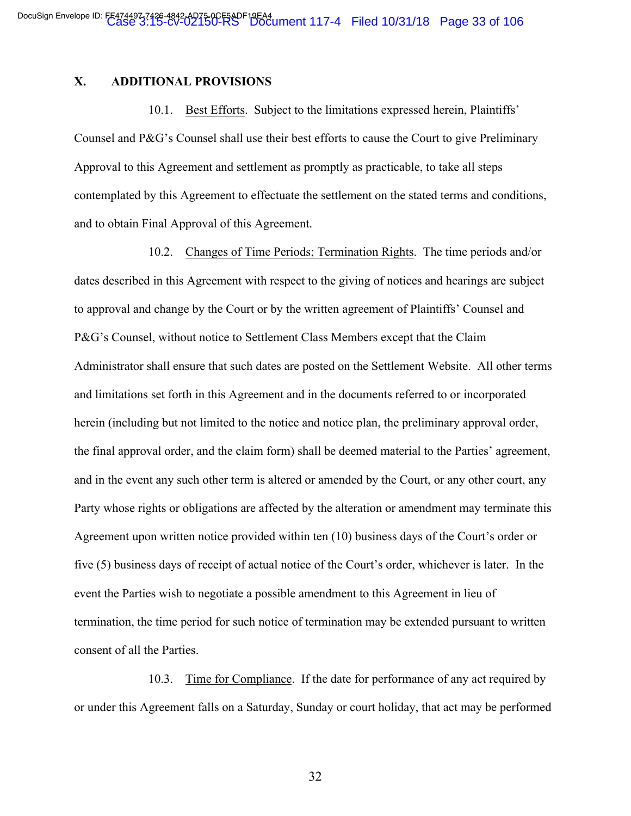### **X. ADDITIONAL PROVISIONS**

10.1. Best Efforts. Subject to the limitations expressed herein, Plaintiffs' Counsel and P&G's Counsel shall use their best efforts to cause the Court to give Preliminary Approval to this Agreement and settlement as promptly as practicable, to take all steps contemplated by this Agreement to effectuate the settlement on the stated terms and conditions, and to obtain Final Approval of this Agreement.

10.2. Changes of Time Periods; Termination Rights. The time periods and/or dates described in this Agreement with respect to the giving of notices and hearings are subject to approval and change by the Court or by the written agreement of Plaintiffs' Counsel and P&G's Counsel, without notice to Settlement Class Members except that the Claim Administrator shall ensure that such dates are posted on the Settlement Website. All other terms and limitations set forth in this Agreement and in the documents referred to or incorporated herein (including but not limited to the notice and notice plan, the preliminary approval order, the final approval order, and the claim form) shall be deemed material to the Parties' agreement, and in the event any such other term is altered or amended by the Court, or any other court, any Party whose rights or obligations are affected by the alteration or amendment may terminate this Agreement upon written notice provided within ten (10) business days of the Court's order or five (5) business days of receipt of actual notice of the Court's order, whichever is later. In the event the Parties wish to negotiate a possible amendment to this Agreement in lieu of termination, the time period for such notice of termination may be extended pursuant to written consent of all the Parties.

10.3. Time for Compliance. If the date for performance of any act required by or under this Agreement falls on a Saturday, Sunday or court holiday, that act may be performed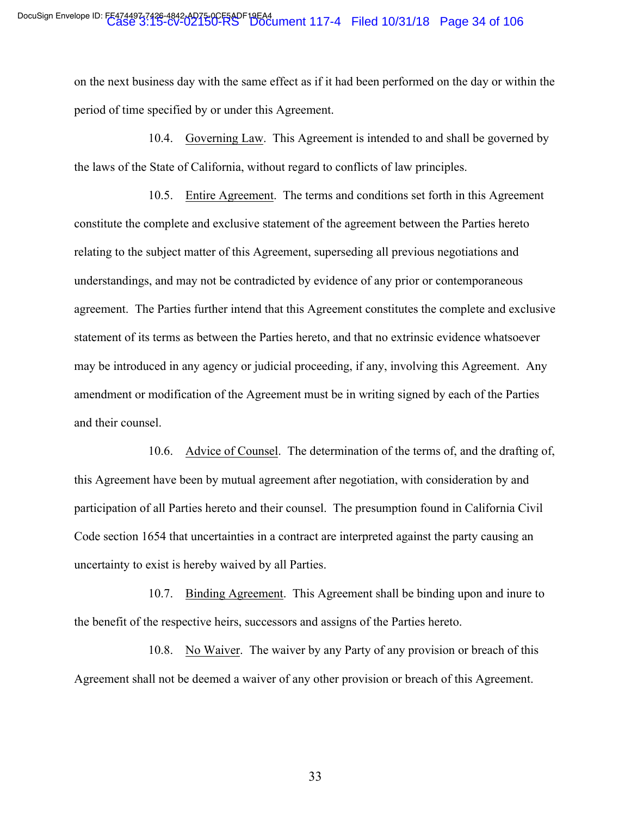on the next business day with the same effect as if it had been performed on the day or within the period of time specified by or under this Agreement.

10.4. Governing Law. This Agreement is intended to and shall be governed by the laws of the State of California, without regard to conflicts of law principles.

10.5. Entire Agreement. The terms and conditions set forth in this Agreement constitute the complete and exclusive statement of the agreement between the Parties hereto relating to the subject matter of this Agreement, superseding all previous negotiations and understandings, and may not be contradicted by evidence of any prior or contemporaneous agreement. The Parties further intend that this Agreement constitutes the complete and exclusive statement of its terms as between the Parties hereto, and that no extrinsic evidence whatsoever may be introduced in any agency or judicial proceeding, if any, involving this Agreement. Any amendment or modification of the Agreement must be in writing signed by each of the Parties and their counsel.

10.6. Advice of Counsel. The determination of the terms of, and the drafting of, this Agreement have been by mutual agreement after negotiation, with consideration by and participation of all Parties hereto and their counsel. The presumption found in California Civil Code section 1654 that uncertainties in a contract are interpreted against the party causing an uncertainty to exist is hereby waived by all Parties.

10.7. Binding Agreement. This Agreement shall be binding upon and inure to the benefit of the respective heirs, successors and assigns of the Parties hereto.

10.8. No Waiver. The waiver by any Party of any provision or breach of this Agreement shall not be deemed a waiver of any other provision or breach of this Agreement.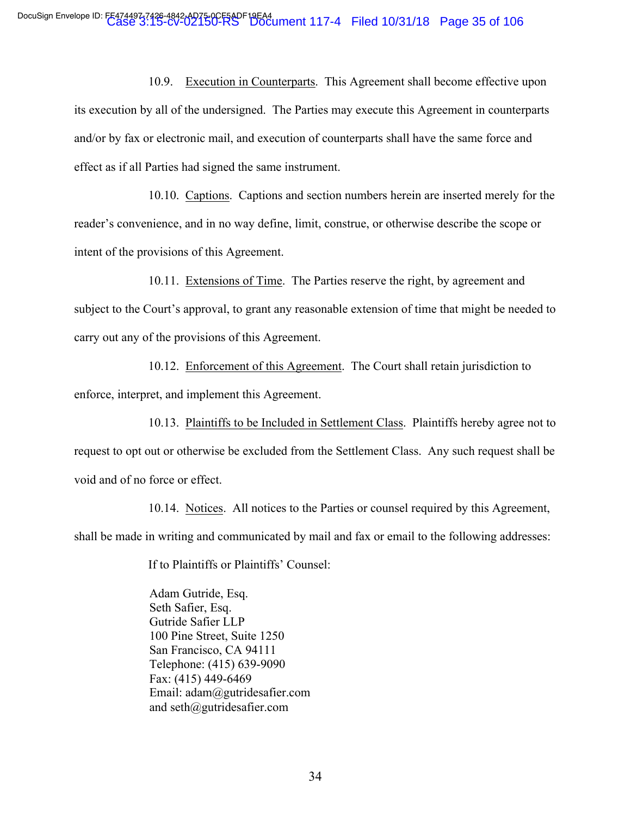10.9. Execution in Counterparts. This Agreement shall become effective upon its execution by all of the undersigned. The Parties may execute this Agreement in counterparts and/or by fax or electronic mail, and execution of counterparts shall have the same force and effect as if all Parties had signed the same instrument.

10.10. Captions. Captions and section numbers herein are inserted merely for the reader's convenience, and in no way define, limit, construe, or otherwise describe the scope or intent of the provisions of this Agreement.

10.11. Extensions of Time. The Parties reserve the right, by agreement and subject to the Court's approval, to grant any reasonable extension of time that might be needed to carry out any of the provisions of this Agreement.

10.12. Enforcement of this Agreement. The Court shall retain jurisdiction to enforce, interpret, and implement this Agreement.

10.13. Plaintiffs to be Included in Settlement Class. Plaintiffs hereby agree not to request to opt out or otherwise be excluded from the Settlement Class. Any such request shall be void and of no force or effect.

10.14. Notices. All notices to the Parties or counsel required by this Agreement, shall be made in writing and communicated by mail and fax or email to the following addresses:

If to Plaintiffs or Plaintiffs' Counsel:

Adam Gutride, Esq. Seth Safier, Esq. Gutride Safier LLP 100 Pine Street, Suite 1250 San Francisco, CA 94111 Telephone: (415) 639-9090 Fax: (415) 449-6469 Email: adam@gutridesafier.com and seth@gutridesafier.com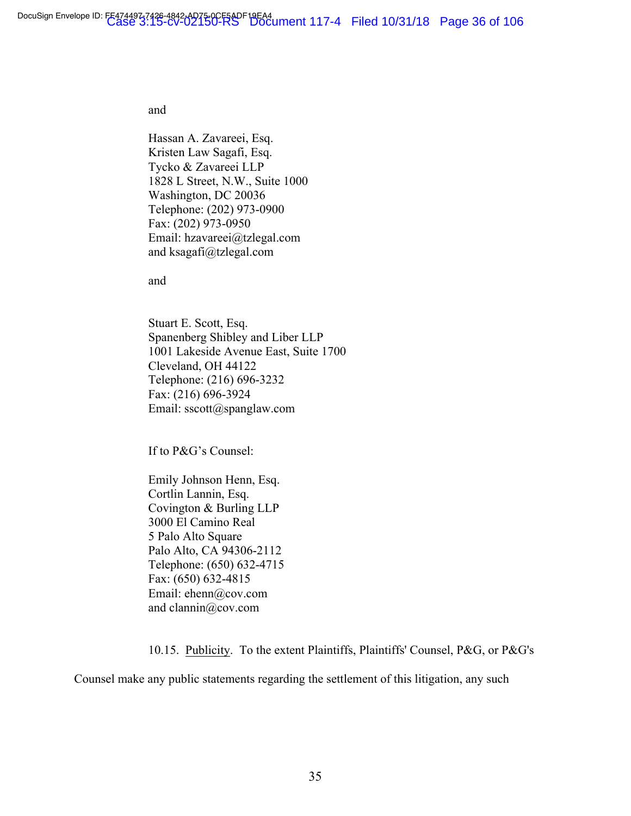#### and

Hassan A. Zavareei, Esq. Kristen Law Sagafi, Esq. Tycko & Zavareei LLP 1828 L Street, N.W., Suite 1000 Washington, DC 20036 Telephone: (202) 973-0900 Fax: (202) 973-0950 Email: hzavareei@tzlegal.com and ksagafi@tzlegal.com

and

Stuart E. Scott, Esq. Spanenberg Shibley and Liber LLP 1001 Lakeside Avenue East, Suite 1700 Cleveland, OH 44122 Telephone: (216) 696-3232 Fax: (216) 696-3924 Email: sscott@spanglaw.com

If to P&G's Counsel:

Emily Johnson Henn, Esq. Cortlin Lannin, Esq. Covington & Burling LLP 3000 El Camino Real 5 Palo Alto Square Palo Alto, CA 94306-2112 Telephone: (650) 632-4715 Fax: (650) 632-4815 Email: ehenn@cov.com and clannin@cov.com

10.15. Publicity. To the extent Plaintiffs, Plaintiffs' Counsel, P&G, or P&G's

Counsel make any public statements regarding the settlement of this litigation, any such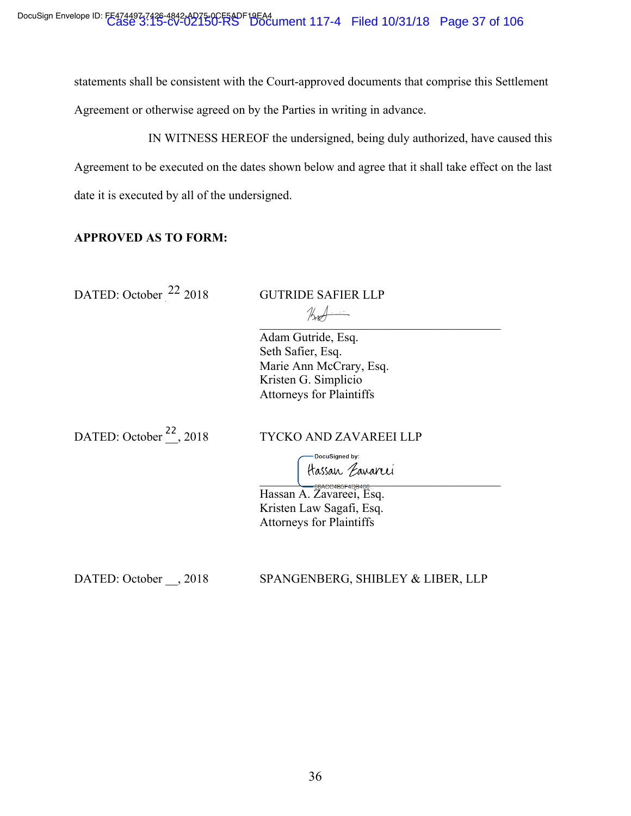statements shall be consistent with the Court-approved documents that comprise this Settlement Agreement or otherwise agreed on by the Parties in writing in advance.

IN WITNESS HEREOF the undersigned, being duly authorized, have caused this Agreement to be executed on the dates shown below and agree that it shall take effect on the last date it is executed by all of the undersigned.

# **APPROVED AS TO FORM:**

DATED: October  $^{22}$  2018 GUTRIDE SAFIER LLP

 $(X_1, Y_2)$ Adam Gutride, Esq. Seth Safier, Esq. Marie Ann McCrary, Esq. Kristen G. Simplicio

Attorneys for Plaintiffs

DATED: October  $^{22}$ , 2018

TYCKO AND ZAVAREEI LLP

DocuSigned by:  $\sum_{i=1}^{n}$ 

Hassan A. Zavareei, Esq. Kristen Law Sagafi, Esq. Attorneys for Plaintiffs

DATED: October \_\_, 2018 SPANGENBERG, SHIBLEY & LIBER, LLP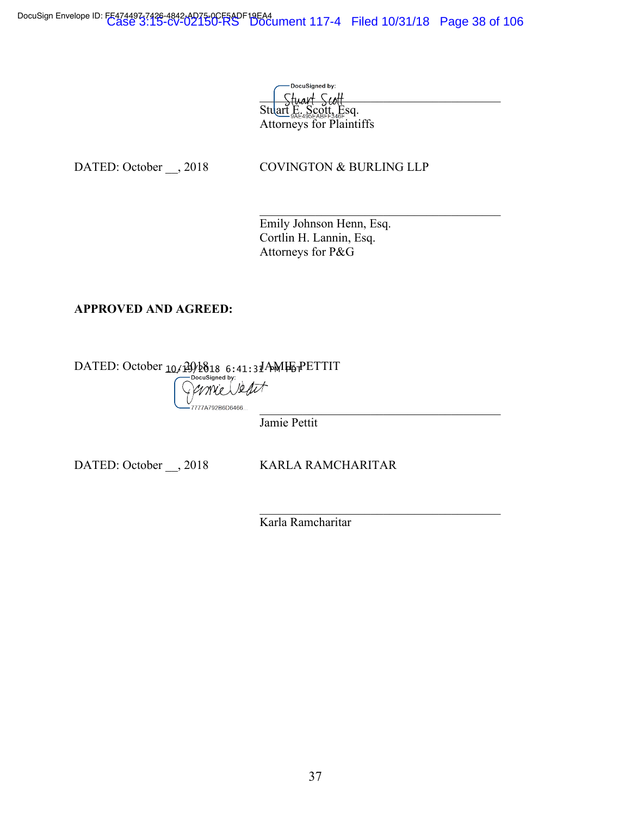DocuSign Envelope ID: FE474497-7426-4842-AD75-0CF6ADF19EA4<br>Case 3:15-cV-Document 117-4 Filed 10/31/18 Page 38 of 106

DocuSigned by: Stuart Scott Stuart E. Scott, Esq. Attorneys for Plaintiffs

DATED: October \_\_, 2018 COVINGTON & BURLING LLP

 $\mathcal{L}_\text{max}$  and  $\mathcal{L}_\text{max}$  and  $\mathcal{L}_\text{max}$  and  $\mathcal{L}_\text{max}$ Emily Johnson Henn, Esq. Cortlin H. Lannin, Esq. Attorneys for P&G

# **APPROVED AND AGREED:**

DATED: October \_\_, 2018 JAMIE PETTIT - mie Veart 7777A792B6D6466...  $\mathcal{L}_\text{max}$ 

Jamie Pettit

DATED: October \_\_, 2018 KARLA RAMCHARITAR

 $\mathcal{L}_\text{max}$  and  $\mathcal{L}_\text{max}$  and  $\mathcal{L}_\text{max}$  and  $\mathcal{L}_\text{max}$ 

Karla Ramcharitar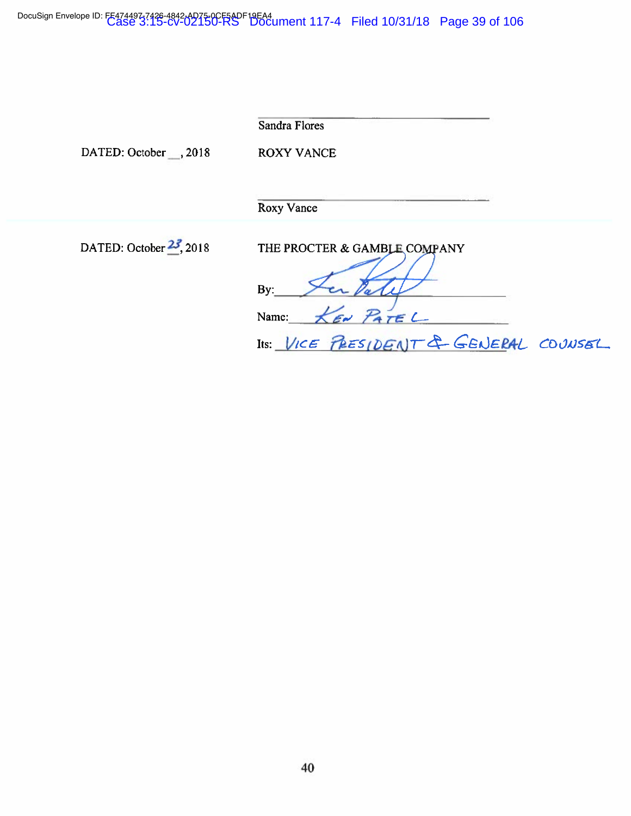DocuSign Envelope ID: FE474497-7426-4842-AD75-0CF5ADF19EA4<br>Case 3:15-cv-02150-RS Document 117-4 Filed 10/31/18 Page 39 of 106

|                            | <b>Sandra Flores</b>                                                                               |
|----------------------------|----------------------------------------------------------------------------------------------------|
| DATED: October , 2018      | <b>ROXY VANCE</b>                                                                                  |
|                            | Roxy Vance                                                                                         |
| DATED: October $23$ , 2018 | THE PROCTER & GAMBLE COMPANY<br>By:<br>KEN PATEL<br>Name:<br>Its: VICE PRESIDENT & GENERAL COUNSEL |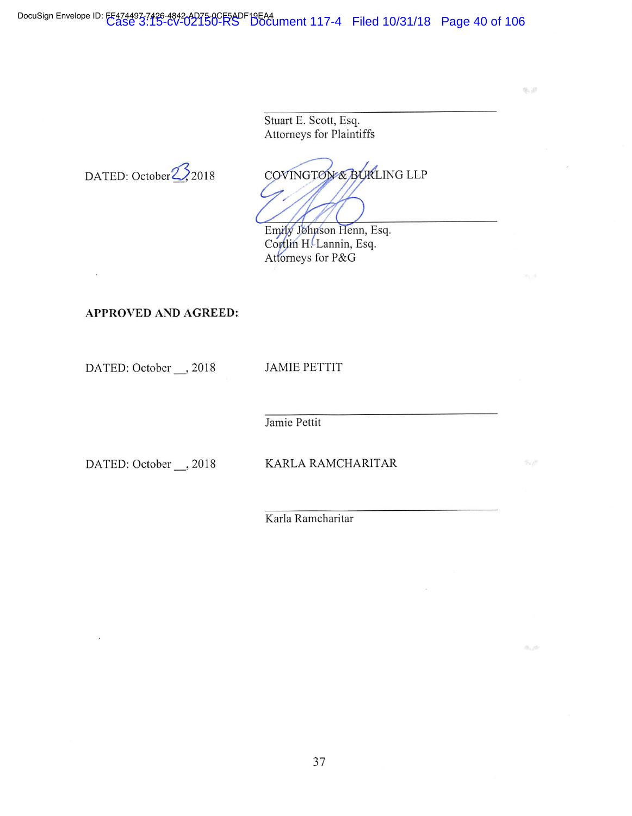DocuSign Envelope ID: FF474497-7426-4842-AD75-0CF5ADF19EA4<br>Case 3:15-cv-02150-RS Document 117-4 Filed 10/31/18 Page 40 of 106

Stuart E. Scott, Esq. Attorneys for Plaintiffs

 $\text{DATED: October} \frac{1}{2018}$  COVINGT OVERURLING LLP

陈道

底添

Emily Johnson Henn, Esq. Cortlin H. Lannin, Esq. Attorneys for P&G

APPROVED AND AGREED:

DATED: October \_\_, 2018 JAMIE PETTIT

Jamie Pettit

DATED: October \_\_, 2018 KARLA RAMCHARITAR

Karla Ramcharitar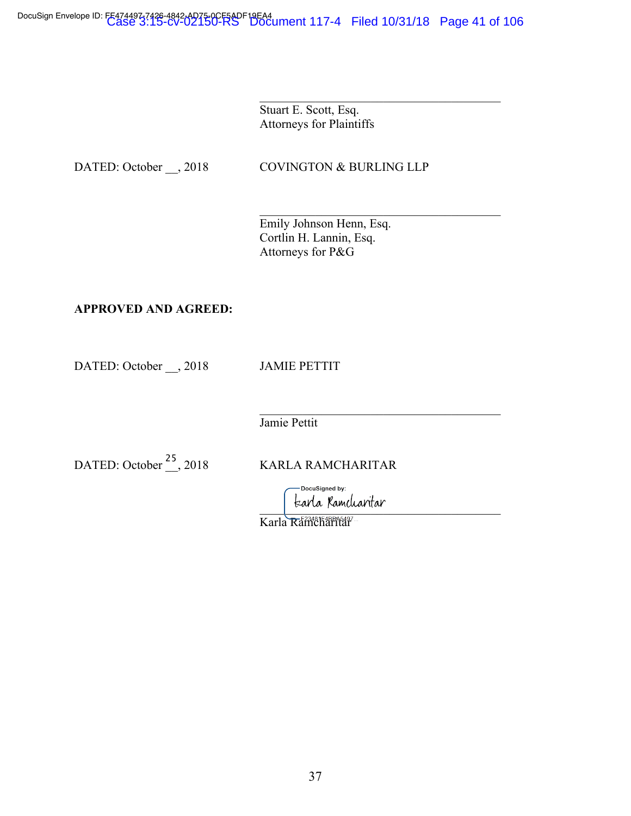Stuart E. Scott, Esq. Attorneys for Plaintiffs

DATED: October \_\_, 2018 COVINGTON & BURLING LLP

 $\mathcal{L}_\text{max}$  and  $\mathcal{L}_\text{max}$  and  $\mathcal{L}_\text{max}$  and  $\mathcal{L}_\text{max}$ 

 $\mathcal{L}_\text{max}$  and  $\mathcal{L}_\text{max}$  and  $\mathcal{L}_\text{max}$  and  $\mathcal{L}_\text{max}$ Emily Johnson Henn, Esq. Cortlin H. Lannin, Esq. Attorneys for P&G

# **APPROVED AND AGREED:**

DATED: October \_\_, 2018 JAMIE PETTIT

Jamie Pettit

DATED: October <sup>25</sup>, 2018 KARLA RAMCHARITAR

-DocuSigned by: tzarla Kamcliaritar

 $\mathcal{L}_\text{max}$ 

Karla Ramcharitar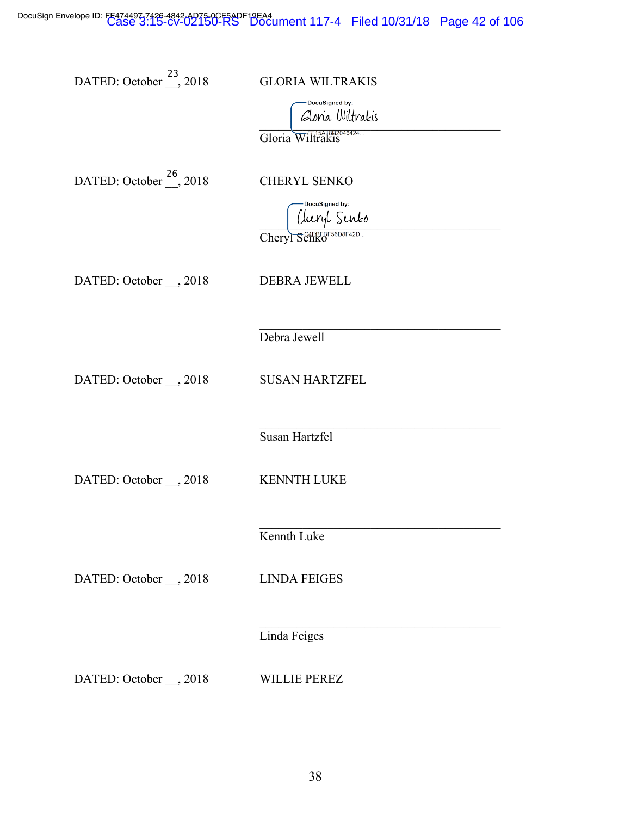DocuSign Envelope ID: FE474497-748-4842-AD75-0CF6ADF19EA4<br>Case 3:15-cV-Document 117-4 Filed 10/31/18 Page 42 of 106

| DATED: October <sup>23</sup> , 2018 | <b>GLORIA WILTRAKIS</b><br>DocuSigned by:<br>Gloria Wiltrakis<br>Gloria |
|-------------------------------------|-------------------------------------------------------------------------|
| DATED: October <sup>26</sup> , 2018 | <b>CHERYL SENKO</b><br>DocuSigned by:<br>Uuryl Senko<br>Cheryl          |
| DATED: October __, 2018             | <b>DEBRA JEWELL</b>                                                     |
| DATED: October __, 2018             | Debra Jewell<br><b>SUSAN HARTZFEL</b>                                   |
| DATED: October ___, 2018            | Susan Hartzfel<br><b>KENNTH LUKE</b>                                    |
| DATED: October __, 2018             | Kennth Luke<br><b>LINDA FEIGES</b>                                      |
| DATED: October __, 2018             | Linda Feiges<br><b>WILLIE PEREZ</b>                                     |
|                                     |                                                                         |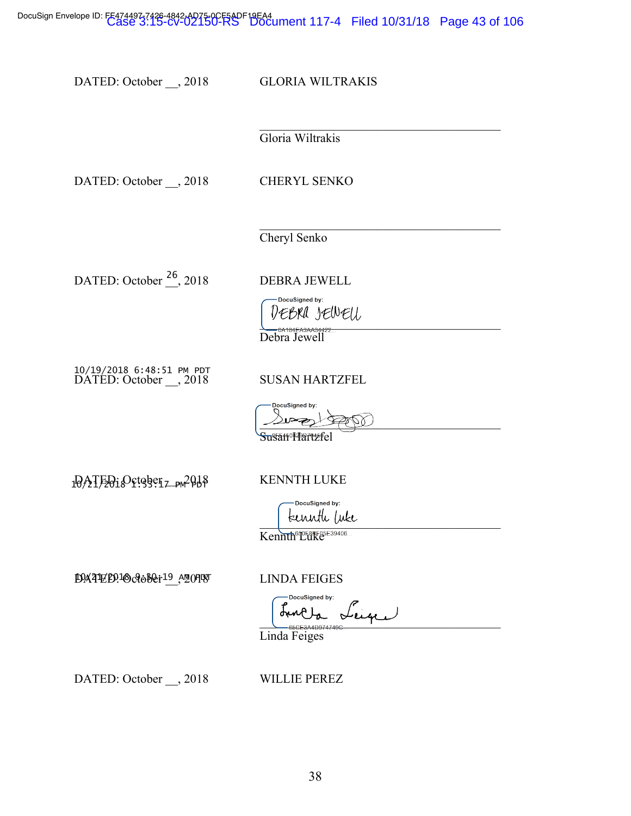DocuSign Envelope ID: FE474497-7426-4842-AD75-0CF6ADF19EA4<br>Case 3:15-cV-Document 117-4 Filed 10/31/18 Page 43 of 106

DATED: October \_\_, 2018 GLORIA WILTRAKIS

 $\mathcal{L}_\text{max}$ 

 $\mathcal{L}_\text{max}$  and  $\mathcal{L}_\text{max}$  and  $\mathcal{L}_\text{max}$  and  $\mathcal{L}_\text{max}$ 

Gloria Wiltrakis

DATED: October \_\_, 2018 CHERYL SENKO

Cheryl Senko

DATED: October <sup>26</sup>, 2018 DEBRA JEWELL

DocuSigned by: DEBRA JEWEU Debra Jewell

DATED: October \_\_, 2018 SUSAN HARTZFEL -- 

**DocuSigne**  $\triangle V$ 

SusanºMartzfel

10ATEO10Ctggetz\_pw2Q18 KENNTH LUKE

DocuSigned by: teennth (uke

Kennth<sup>650F8BF05E39406...</sup>

DATED:1October19 A2019 LINDA FEIGES

DocuSigned by:  $\sum_{\text{B5CE}344\text{D}9747490}$ 

Linda Feiges

DATED: October \_\_, 2018 WILLIE PEREZ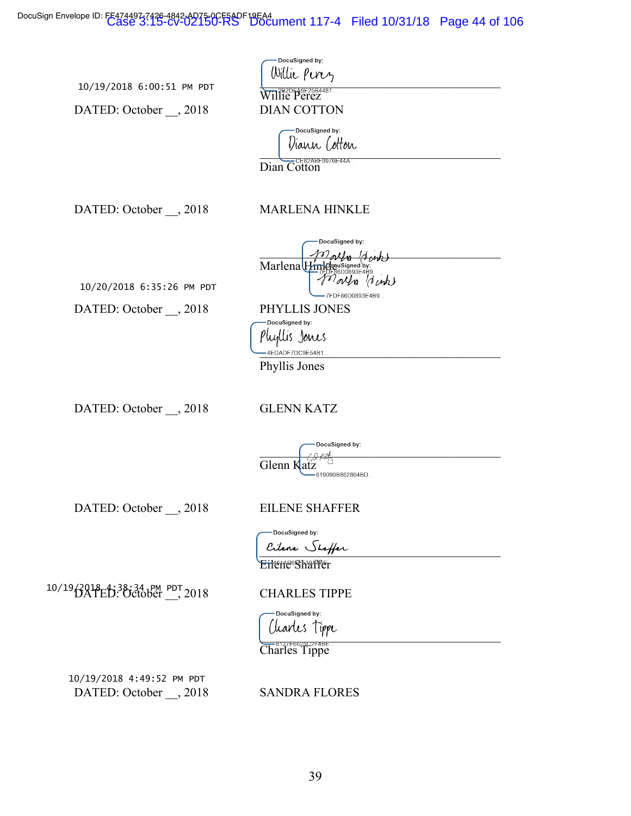DocuSign Envelope ID: FE474497-7426-4842-AD75-0CF6ADF19EA4<br>Case 3:15-cV-Document 117-4 Filed 10/31/18 Page 44 of 106

| 10/19/2018 6:00:51 PM PDT |  |  |
|---------------------------|--|--|

DATED: October \_\_, 2018

DATED: October  $\_\_$ , 2018

DATED: October \_\_, 2018

10/20/2018 6:35:26 PM PDT

| DocuSigned by:                                    |
|---------------------------------------------------|
| Willie Perez                                      |
| TIPPE Perez                                       |
| <b>DIAN COTTON</b>                                |
| DocuSigned by:<br>Diann (otton                    |
| CE82ABF9976E44A<br>Dian Cotton                    |
| <b>MARLENA HINKLE</b>                             |
| DocuSigned by:                                    |
| Marlena Himplowsigned by:<br>m<br>7FDF86D0893E4B9 |
| PHYLLIS JONES                                     |
| DocuSigned by:                                    |
| خنااس<br>Jain e S                                 |

p ugus Jours<br>— 4EDADF7DC9E54B1...

Phyllis Jones

DATED: October \_\_, 2018 GLENN KATZ

|            | -DocuSigned by: |
|------------|-----------------|
|            |                 |
| Glenn Katz |                 |
|            | 619090B862804BD |

DATED: October \_\_, 2018 EILENE SHAFFER

-DocuSigned by: Cilene Shaffer **Eilene Shaffer** 

10/19/2018 ED: 38:34 PM PDT 2018 CHARLES TIPPE

DocuSigned by:

 $\frac{1}{2}$ Charles Tippe

DATED: October \_\_, 2018 SANDRA FLORES --